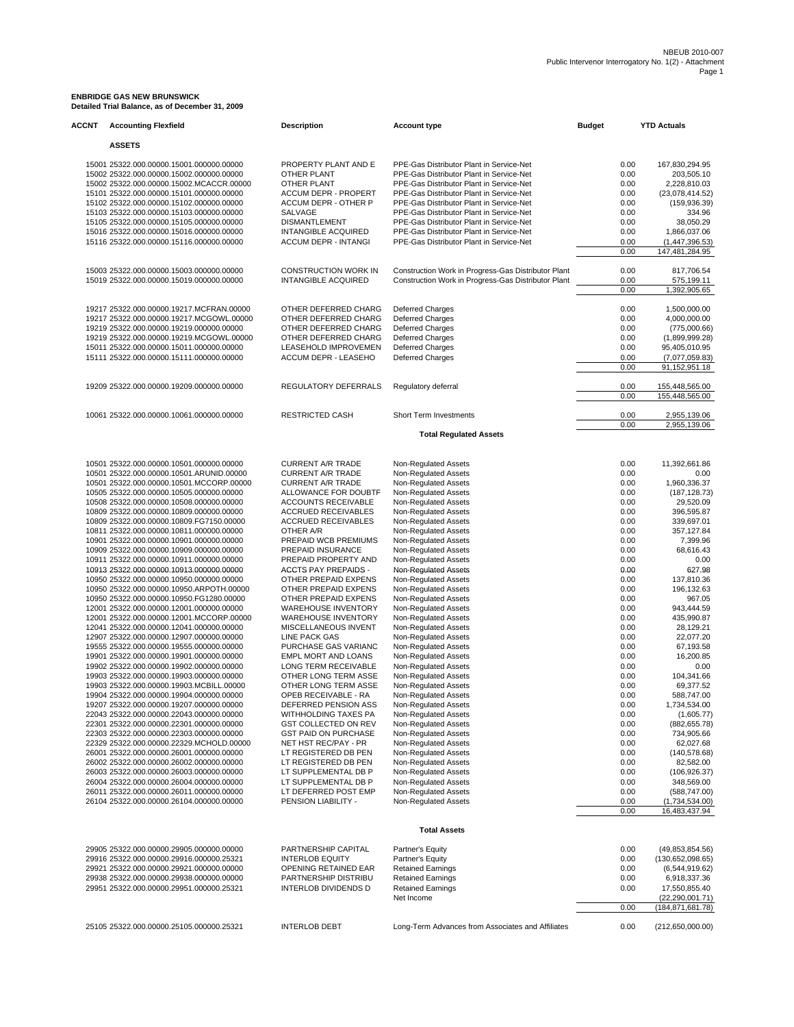# **ENBRIDGE GAS NEW BRUNSWICK Detailed Trial Balance, as of December 31, 2009**

| <b>ACCNT</b> | <b>Accounting Flexfield</b>                                                                                                                                                                                              | <b>Description</b>                                                                                 | <b>Account type</b>                                                                                                                                                                                                      | <b>Budget</b>                        | <b>YTD Actuals</b>                                                               |
|--------------|--------------------------------------------------------------------------------------------------------------------------------------------------------------------------------------------------------------------------|----------------------------------------------------------------------------------------------------|--------------------------------------------------------------------------------------------------------------------------------------------------------------------------------------------------------------------------|--------------------------------------|----------------------------------------------------------------------------------|
|              | <b>ASSETS</b>                                                                                                                                                                                                            |                                                                                                    |                                                                                                                                                                                                                          |                                      |                                                                                  |
|              | 15001 25322.000.00000.15001.000000.00000<br>15002 25322.000.00000.15002.000000.00000<br>15002 25322.000.00000.15002.MCACCR.00000<br>15101 25322.000.00000.15101.000000.00000<br>15102 25322.000.00000.15102.000000.00000 | PROPERTY PLANT AND E<br>OTHER PLANT<br>OTHER PLANT<br>ACCUM DEPR - PROPERT<br>ACCUM DEPR - OTHER P | PPE-Gas Distributor Plant in Service-Net<br>PPE-Gas Distributor Plant in Service-Net<br>PPE-Gas Distributor Plant in Service-Net<br>PPE-Gas Distributor Plant in Service-Net<br>PPE-Gas Distributor Plant in Service-Net | 0.00<br>0.00<br>0.00<br>0.00<br>0.00 | 167,830,294.95<br>203,505.10<br>2,228,810.03<br>(23,078,414.52)<br>(159, 936.39) |
|              | 15103 25322.000.00000.15103.000000.00000<br>15105 25322.000.00000.15105.000000.00000                                                                                                                                     | SALVAGE<br><b>DISMANTLEMENT</b>                                                                    | PPE-Gas Distributor Plant in Service-Net<br>PPE-Gas Distributor Plant in Service-Net                                                                                                                                     | 0.00<br>0.00                         | 334.96<br>38,050.29                                                              |
|              | 15016 25322.000.00000.15016.000000.00000<br>15116 25322.000.00000.15116.000000.00000                                                                                                                                     | <b>INTANGIBLE ACQUIRED</b><br><b>ACCUM DEPR - INTANGI</b>                                          | PPE-Gas Distributor Plant in Service-Net<br>PPE-Gas Distributor Plant in Service-Net                                                                                                                                     | 0.00<br>0.00<br>0.00                 | 1,866,037.06<br>(1,447,396.53)<br>147,481,284.95                                 |
|              | 15003 25322.000.00000.15003.000000.00000                                                                                                                                                                                 | <b>CONSTRUCTION WORK IN</b>                                                                        | Construction Work in Progress-Gas Distributor Plant                                                                                                                                                                      | 0.00                                 | 817,706.54                                                                       |
|              | 15019 25322.000.00000.15019.000000.00000                                                                                                                                                                                 | <b>INTANGIBLE ACQUIRED</b>                                                                         | Construction Work in Progress-Gas Distributor Plant                                                                                                                                                                      | 0.00<br>0.00                         | 575,199.11<br>1,392,905.65                                                       |
|              | 19217 25322.000.00000.19217.MCFRAN.00000                                                                                                                                                                                 | OTHER DEFERRED CHARG                                                                               | <b>Deferred Charges</b>                                                                                                                                                                                                  | 0.00                                 | 1,500,000.00                                                                     |
|              | 19217 25322.000.00000.19217.MCGOWL.00000                                                                                                                                                                                 | OTHER DEFERRED CHARG                                                                               | <b>Deferred Charges</b>                                                                                                                                                                                                  | 0.00                                 | 4,000,000.00                                                                     |
|              | 19219 25322.000.00000.19219.000000.00000<br>19219 25322.000.00000.19219.MCGOWL.00000                                                                                                                                     | OTHER DEFERRED CHARG<br>OTHER DEFERRED CHARG                                                       | Deferred Charges<br><b>Deferred Charges</b>                                                                                                                                                                              | 0.00<br>0.00                         | (775,000.66)<br>(1,899,999.28)                                                   |
|              | 15011 25322.000.00000.15011.000000.00000                                                                                                                                                                                 | LEASEHOLD IMPROVEMEN                                                                               | <b>Deferred Charges</b>                                                                                                                                                                                                  | 0.00                                 | 95,405,010.95                                                                    |
|              | 15111 25322.000.00000.15111.000000.00000                                                                                                                                                                                 | ACCUM DEPR - LEASEHO                                                                               | Deferred Charges                                                                                                                                                                                                         | 0.00                                 | (7,077,059.83)                                                                   |
|              |                                                                                                                                                                                                                          |                                                                                                    |                                                                                                                                                                                                                          | 0.00                                 | 91,152,951.18                                                                    |
|              | 19209 25322.000.00000.19209.000000.00000                                                                                                                                                                                 | REGULATORY DEFERRALS                                                                               | Regulatory deferral                                                                                                                                                                                                      | 0.00<br>0.00                         | 155,448,565.00<br>155,448,565.00                                                 |
|              | 10061 25322.000.00000.10061.000000.00000                                                                                                                                                                                 | <b>RESTRICTED CASH</b>                                                                             | <b>Short Term Investments</b>                                                                                                                                                                                            | 0.00                                 | 2,955,139.06                                                                     |
|              |                                                                                                                                                                                                                          |                                                                                                    |                                                                                                                                                                                                                          | 0.00                                 | 2,955,139.06                                                                     |
|              |                                                                                                                                                                                                                          |                                                                                                    | <b>Total Regulated Assets</b>                                                                                                                                                                                            |                                      |                                                                                  |
|              | 10501 25322.000.00000.10501.000000.00000                                                                                                                                                                                 | <b>CURRENT A/R TRADE</b>                                                                           | Non-Regulated Assets                                                                                                                                                                                                     | 0.00                                 | 11,392,661.86                                                                    |
|              | 10501 25322.000.00000.10501.ARUNID.00000                                                                                                                                                                                 | <b>CURRENT A/R TRADE</b>                                                                           | Non-Regulated Assets                                                                                                                                                                                                     | 0.00                                 | 0.00                                                                             |
|              | 10501 25322.000.00000.10501.MCCORP.00000<br>10505 25322.000.00000.10505.000000.00000                                                                                                                                     | <b>CURRENT A/R TRADE</b><br>ALLOWANCE FOR DOUBTF                                                   | Non-Regulated Assets<br>Non-Regulated Assets                                                                                                                                                                             | 0.00<br>0.00                         | 1,960,336.37<br>(187, 128.73)                                                    |
|              | 10508 25322.000.00000.10508.000000.00000                                                                                                                                                                                 | ACCOUNTS RECEIVABLE                                                                                | Non-Regulated Assets                                                                                                                                                                                                     | 0.00                                 | 29,520.09                                                                        |
|              | 10809 25322.000.00000.10809.000000.00000                                                                                                                                                                                 | <b>ACCRUED RECEIVABLES</b>                                                                         | Non-Regulated Assets                                                                                                                                                                                                     | 0.00                                 | 396,595.87                                                                       |
|              | 10809 25322.000.00000.10809.FG7150.00000<br>10811 25322.000.00000.10811.000000.00000                                                                                                                                     | <b>ACCRUED RECEIVABLES</b><br>OTHER A/R                                                            | Non-Regulated Assets<br>Non-Regulated Assets                                                                                                                                                                             | 0.00<br>0.00                         | 339,697.01<br>357,127.84                                                         |
|              | 10901 25322.000.00000.10901.000000.00000                                                                                                                                                                                 | PREPAID WCB PREMIUMS                                                                               | Non-Regulated Assets                                                                                                                                                                                                     | 0.00                                 | 7,399.96                                                                         |
|              | 10909 25322.000.00000.10909.000000.00000                                                                                                                                                                                 | PREPAID INSURANCE                                                                                  | Non-Regulated Assets                                                                                                                                                                                                     | 0.00                                 | 68,616.43                                                                        |
|              | 10911 25322.000.00000.10911.000000.00000                                                                                                                                                                                 | PREPAID PROPERTY AND                                                                               | Non-Regulated Assets                                                                                                                                                                                                     | 0.00                                 | 0.00                                                                             |
|              | 10913 25322.000.00000.10913.000000.00000<br>10950 25322.000.00000.10950.000000.00000                                                                                                                                     | ACCTS PAY PREPAIDS -<br>OTHER PREPAID EXPENS                                                       | Non-Regulated Assets<br>Non-Regulated Assets                                                                                                                                                                             | 0.00<br>0.00                         | 627.98<br>137,810.36                                                             |
|              | 10950 25322.000.00000.10950.ARPOTH.00000                                                                                                                                                                                 | OTHER PREPAID EXPENS                                                                               | Non-Regulated Assets                                                                                                                                                                                                     | 0.00                                 | 196,132.63                                                                       |
|              | 10950 25322.000.00000.10950.FG1280.00000                                                                                                                                                                                 | OTHER PREPAID EXPENS                                                                               | Non-Regulated Assets                                                                                                                                                                                                     | 0.00                                 | 967.05                                                                           |
|              | 12001 25322.000.00000.12001.000000.00000                                                                                                                                                                                 | <b>WAREHOUSE INVENTORY</b>                                                                         | Non-Regulated Assets                                                                                                                                                                                                     | 0.00                                 | 943,444.59                                                                       |
|              | 12001 25322.000.00000.12001.MCCORP.00000<br>12041 25322.000.00000.12041.000000.00000                                                                                                                                     | <b>WAREHOUSE INVENTORY</b><br>MISCELLANEOUS INVENT                                                 | Non-Regulated Assets<br>Non-Regulated Assets                                                                                                                                                                             | 0.00<br>0.00                         | 435,990.87<br>28,129.21                                                          |
|              | 12907 25322.000.00000.12907.000000.00000                                                                                                                                                                                 | LINE PACK GAS                                                                                      | Non-Regulated Assets                                                                                                                                                                                                     | 0.00                                 | 22,077.20                                                                        |
|              | 19555 25322.000.00000.19555.000000.00000                                                                                                                                                                                 | PURCHASE GAS VARIANC                                                                               | Non-Regulated Assets                                                                                                                                                                                                     | 0.00                                 | 67,193.58                                                                        |
|              | 19901 25322.000.00000.19901.000000.00000                                                                                                                                                                                 | EMPL MORT AND LOANS<br>LONG TERM RECEIVABLE                                                        | Non-Regulated Assets                                                                                                                                                                                                     | 0.00                                 | 16,200.85                                                                        |
|              | 19902 25322.000.00000.19902.000000.00000<br>19903 25322.000.00000.19903.000000.00000                                                                                                                                     | OTHER LONG TERM ASSE                                                                               | Non-Regulated Assets<br>Non-Regulated Assets                                                                                                                                                                             | 0.00<br>0.00                         | 0.00<br>104,341.66                                                               |
|              | 19903 25322.000.00000.19903.MCBILL.00000                                                                                                                                                                                 | OTHER LONG TERM ASSE                                                                               | Non-Regulated Assets                                                                                                                                                                                                     | 0.00                                 | 69,377.52                                                                        |
|              | 19904 25322.000.00000.19904.000000.00000                                                                                                                                                                                 | OPEB RECEIVABLE - RA                                                                               | Non-Regulated Assets                                                                                                                                                                                                     | 0.00                                 | 588,747.00                                                                       |
|              | 19207 25322.000.00000.19207.000000.00000<br>22043 25322.000.00000.22043.000000.00000                                                                                                                                     | DEFERRED PENSION ASS<br>WITHHOLDING TAXES PA                                                       | Non-Regulated Assets<br>Non-Regulated Assets                                                                                                                                                                             | 0.00<br>0.00                         | 1,734,534.00<br>(1,605.77)                                                       |
|              | 22301 25322.000.00000.22301.000000.00000                                                                                                                                                                                 | GST COLLECTED ON REV                                                                               | Non-Regulated Assets                                                                                                                                                                                                     | 0.00                                 | (882, 655.78)                                                                    |
|              | 22303 25322.000.00000.22303.000000.00000                                                                                                                                                                                 | <b>GST PAID ON PURCHASE</b>                                                                        | Non-Regulated Assets                                                                                                                                                                                                     | 0.00                                 | 734,905.66                                                                       |
|              | 22329 25322.000.00000.22329.MCHOLD.00000                                                                                                                                                                                 | NET HST REC/PAY - PR                                                                               | Non-Regulated Assets                                                                                                                                                                                                     | 0.00                                 | 62,027.68                                                                        |
|              | 26001 25322.000.00000.26001.000000.00000<br>26002 25322.000.00000.26002.000000.00000                                                                                                                                     | LT REGISTERED DB PEN<br>LT REGISTERED DB PEN                                                       | Non-Regulated Assets<br>Non-Regulated Assets                                                                                                                                                                             | 0.00<br>0.00                         | (140, 578.68)<br>82,582.00                                                       |
|              | 26003 25322.000.00000.26003.000000.00000                                                                                                                                                                                 | LT SUPPLEMENTAL DB P                                                                               | Non-Regulated Assets                                                                                                                                                                                                     | 0.00                                 | (106, 926.37)                                                                    |
|              | 26004 25322.000.00000.26004.000000.00000                                                                                                                                                                                 | LT SUPPLEMENTAL DB P                                                                               | Non-Regulated Assets                                                                                                                                                                                                     | 0.00                                 | 348,569.00                                                                       |
|              | 26011 25322.000.00000.26011.000000.00000<br>26104 25322.000.00000.26104.000000.00000                                                                                                                                     | LT DEFERRED POST EMP<br>PENSION LIABILITY -                                                        | Non-Regulated Assets<br>Non-Regulated Assets                                                                                                                                                                             | 0.00<br>0.00                         | (588, 747.00)<br>(1,734,534.00)                                                  |
|              |                                                                                                                                                                                                                          |                                                                                                    |                                                                                                                                                                                                                          | 0.00                                 | 16,483,437.94                                                                    |
|              |                                                                                                                                                                                                                          |                                                                                                    | <b>Total Assets</b>                                                                                                                                                                                                      |                                      |                                                                                  |
|              | 29905 25322.000.00000.29905.000000.00000                                                                                                                                                                                 | PARTNERSHIP CAPITAL                                                                                | Partner's Equity                                                                                                                                                                                                         | 0.00                                 | (49, 853, 854.56)                                                                |
|              | 29916 25322.000.00000.29916.000000.25321                                                                                                                                                                                 | <b>INTERLOB EQUITY</b>                                                                             | Partner's Equity                                                                                                                                                                                                         | 0.00                                 | (130,652,098.65)                                                                 |
|              | 29921 25322.000.00000.29921.000000.00000<br>29938 25322.000.00000.29938.000000.00000                                                                                                                                     | OPENING RETAINED EAR<br>PARTNERSHIP DISTRIBU                                                       | <b>Retained Earnings</b><br><b>Retained Earnings</b>                                                                                                                                                                     | 0.00<br>0.00                         | (6,544,919.62)<br>6,918,337.36                                                   |
|              | 29951 25322.000.00000.29951.000000.25321                                                                                                                                                                                 | INTERLOB DIVIDENDS D                                                                               | <b>Retained Earnings</b>                                                                                                                                                                                                 | 0.00                                 | 17,550,855.40                                                                    |
|              |                                                                                                                                                                                                                          |                                                                                                    | Net Income                                                                                                                                                                                                               |                                      | (22,290,001.71)                                                                  |
|              |                                                                                                                                                                                                                          |                                                                                                    |                                                                                                                                                                                                                          | 0.00                                 | (184, 871, 681.78)                                                               |
|              | 25105 25322.000.00000.25105.000000.25321                                                                                                                                                                                 | <b>INTERLOB DEBT</b>                                                                               | Long-Term Advances from Associates and Affiliates                                                                                                                                                                        | 0.00                                 | (212,650,000.00)                                                                 |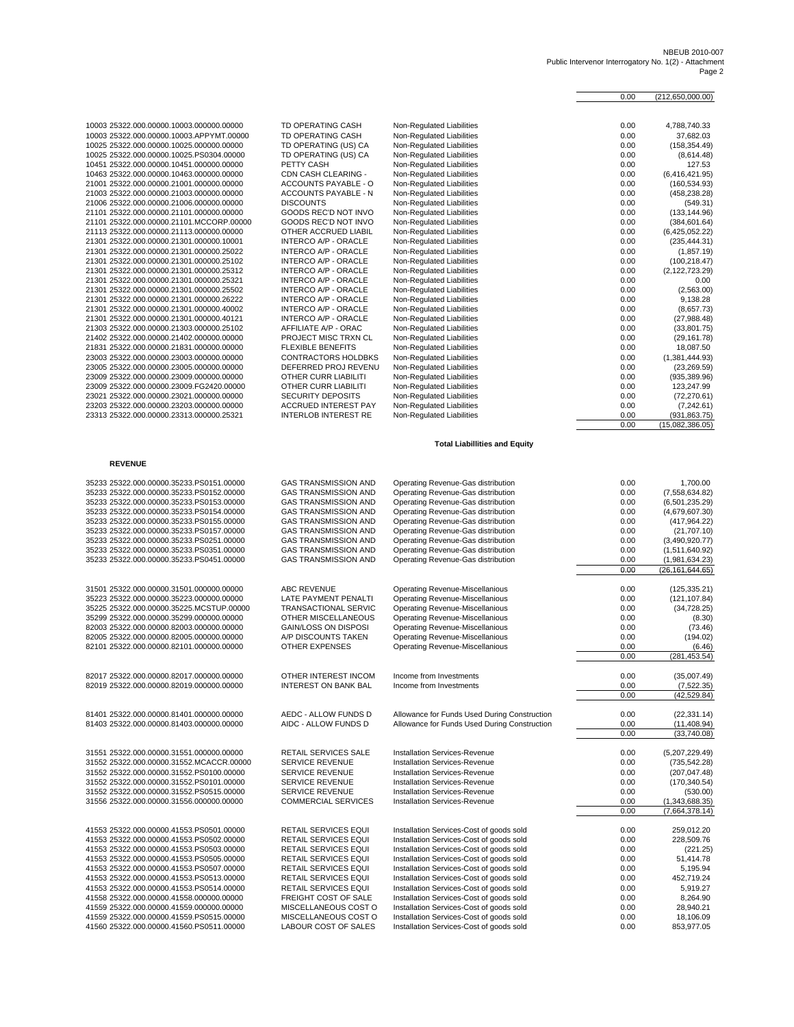#### NBEUB 2010-007 Public Intervenor Interrogatory No. 1(2) - Attachment Page 2

|                                          |                             |                               | 0.00 | (212.650.000.00) |
|------------------------------------------|-----------------------------|-------------------------------|------|------------------|
|                                          |                             |                               |      |                  |
| 10003 25322.000.00000.10003.000000.00000 | <b>TD OPERATING CASH</b>    | Non-Regulated Liabilities     | 0.00 | 4,788,740.33     |
| 10003 25322.000.00000.10003.APPYMT.00000 | <b>TD OPERATING CASH</b>    | Non-Regulated Liabilities     | 0.00 | 37,682.03        |
| 10025 25322.000.00000.10025.000000.00000 | TD OPERATING (US) CA        | Non-Regulated Liabilities     | 0.00 | (158, 354.49)    |
| 10025 25322.000.00000.10025.PS0304.00000 | TD OPERATING (US) CA        | Non-Regulated Liabilities     | 0.00 | (8,614.48)       |
| 10451 25322.000.00000.10451.000000.00000 | PETTY CASH                  | Non-Regulated Liabilities     | 0.00 | 127.53           |
| 10463 25322.000.00000.10463.000000.00000 | CDN CASH CLEARING -         | Non-Regulated Liabilities     | 0.00 | (6,416,421.95)   |
| 21001 25322.000.00000.21001.000000.00000 | <b>ACCOUNTS PAYABLE - O</b> | Non-Regulated Liabilities     | 0.00 | (160, 534.93)    |
| 21003 25322.000.00000.21003.000000.00000 | <b>ACCOUNTS PAYABLE - N</b> | Non-Regulated Liabilities     | 0.00 | (458, 238.28)    |
| 21006 25322.000.00000.21006.000000.00000 | <b>DISCOUNTS</b>            | Non-Regulated Liabilities     | 0.00 | (549.31)         |
| 21101 25322.000.00000.21101.000000.00000 | GOODS REC'D NOT INVO        | Non-Regulated Liabilities     | 0.00 | (133, 144.96)    |
| 21101 25322.000.00000.21101.MCCORP.00000 | GOODS REC'D NOT INVO        | Non-Regulated Liabilities     | 0.00 | (384, 601.64)    |
| 21113 25322.000.00000.21113.000000.00000 | OTHER ACCRUED LIABIL        | Non-Regulated Liabilities     | 0.00 | (6,425,052.22)   |
| 21301 25322.000.00000.21301.000000.10001 | <b>INTERCO A/P - ORACLE</b> | Non-Regulated Liabilities     | 0.00 | (235, 444.31)    |
| 21301 25322.000.00000.21301.000000.25022 | <b>INTERCO A/P - ORACLE</b> | Non-Regulated Liabilities     | 0.00 | (1,857.19)       |
| 21301 25322.000.00000.21301.000000.25102 | <b>INTERCO A/P - ORACLE</b> | Non-Regulated Liabilities     | 0.00 | (100, 218.47)    |
| 21301 25322.000.00000.21301.000000.25312 | <b>INTERCO A/P - ORACLE</b> | Non-Regulated Liabilities     | 0.00 | (2, 122, 723.29) |
| 21301 25322.000.00000.21301.000000.25321 | <b>INTERCO A/P - ORACLE</b> | Non-Regulated Liabilities     | 0.00 | 0.00             |
| 21301 25322.000.00000.21301.000000.25502 | <b>INTERCO A/P - ORACLE</b> | Non-Regulated Liabilities     | 0.00 | (2,563.00)       |
| 21301 25322.000.00000.21301.000000.26222 | <b>INTERCO A/P - ORACLE</b> | Non-Regulated Liabilities     | 0.00 | 9,138.28         |
| 21301 25322.000.00000.21301.000000.40002 | <b>INTERCO A/P - ORACLE</b> | Non-Regulated Liabilities     | 0.00 | (8,657.73)       |
| 21301 25322.000.00000.21301.000000.40121 | <b>INTERCO A/P - ORACLE</b> | Non-Regulated Liabilities     | 0.00 | (27,988.48)      |
| 21303 25322.000.00000.21303.000000.25102 | AFFILIATE A/P - ORAC        | Non-Regulated Liabilities     | 0.00 | (33,801.75)      |
| 21402 25322.000.00000.21402.000000.00000 | PROJECT MISC TRXN CL        | Non-Regulated Liabilities     | 0.00 | (29, 161.78)     |
| 21831 25322.000.00000.21831.000000.00000 | <b>FLEXIBLE BENEFITS</b>    | Non-Regulated Liabilities     | 0.00 | 18,087.50        |
| 23003 25322.000.00000.23003.000000.00000 | <b>CONTRACTORS HOLDBKS</b>  | Non-Regulated Liabilities     | 0.00 | (1,381,444.93)   |
| 23005 25322.000.00000.23005.000000.00000 | DEFERRED PROJ REVENU        | Non-Regulated Liabilities     | 0.00 | (23, 269.59)     |
| 23009 25322.000.00000.23009.000000.00000 | OTHER CURR LIABILITI        | Non-Regulated Liabilities     | 0.00 | (935, 389.96)    |
| 23009 25322.000.00000.23009.FG2420.00000 | <b>OTHER CURR LIABILITI</b> | Non-Regulated Liabilities     | 0.00 | 123,247.99       |
| 23021 25322.000.00000.23021.000000.00000 | <b>SECURITY DEPOSITS</b>    | Non-Regulated Liabilities     | 0.00 | (72, 270.61)     |
| 23203 25322.000.00000.23203.000000.00000 | ACCRUED INTEREST PAY        | Non-Regulated Liabilities     | 0.00 | (7,242.61)       |
| 23313 25322.000.00000.23313.000000.25321 | <b>INTERLOB INTEREST RE</b> | Non-Regulated Liabilities     | 0.00 | (931, 863.75)    |
|                                          |                             |                               | 0.00 | (15.082.386.05)  |
|                                          |                             |                               |      |                  |
|                                          |                             | Tatal LightHistory and Family |      |                  |

#### **Total Liabillities and Equity**

| 35233 25322.000.00000.35233.PS0151.00000 | <b>GAS TRANSMISSION AND</b> | Operating Revenue-Gas distribution           | 0.00 | 1,700.00                   |
|------------------------------------------|-----------------------------|----------------------------------------------|------|----------------------------|
| 35233 25322.000.00000.35233.PS0152.00000 | <b>GAS TRANSMISSION AND</b> | Operating Revenue-Gas distribution           | 0.00 | (7, 558, 634.82)           |
| 35233 25322.000.00000.35233.PS0153.00000 | <b>GAS TRANSMISSION AND</b> | Operating Revenue-Gas distribution           | 0.00 | (6,501,235.29)             |
| 35233 25322.000.00000.35233.PS0154.00000 | <b>GAS TRANSMISSION AND</b> | Operating Revenue-Gas distribution           | 0.00 | (4,679,607.30)             |
| 35233 25322.000.00000.35233.PS0155.00000 | <b>GAS TRANSMISSION AND</b> | Operating Revenue-Gas distribution           | 0.00 | (417, 964.22)              |
| 35233 25322.000.00000.35233.PS0157.00000 | <b>GAS TRANSMISSION AND</b> | Operating Revenue-Gas distribution           | 0.00 | (21, 707.10)               |
| 35233 25322.000.00000.35233.PS0251.00000 | <b>GAS TRANSMISSION AND</b> | Operating Revenue-Gas distribution           | 0.00 | (3,490,920.77)             |
| 35233 25322.000.00000.35233.PS0351.00000 | <b>GAS TRANSMISSION AND</b> | Operating Revenue-Gas distribution           | 0.00 | (1,511,640.92)             |
| 35233 25322.000.00000.35233.PS0451.00000 | <b>GAS TRANSMISSION AND</b> | Operating Revenue-Gas distribution           | 0.00 | (1,981,634.23)             |
|                                          |                             |                                              | 0.00 | (26,161,644.65)            |
|                                          |                             |                                              |      |                            |
| 31501 25322.000.00000.31501.000000.00000 | ABC REVENUE                 | <b>Operating Revenue-Miscellanious</b>       | 0.00 | (125, 335.21)              |
| 35223 25322.000.00000.35223.000000.00000 | LATE PAYMENT PENALTI        | <b>Operating Revenue-Miscellanious</b>       | 0.00 | (121, 107.84)              |
| 35225 25322.000.00000.35225.MCSTUP.00000 | <b>TRANSACTIONAL SERVIC</b> | <b>Operating Revenue-Miscellanious</b>       | 0.00 | (34, 728.25)               |
| 35299 25322.000.00000.35299.000000.00000 | OTHER MISCELLANEOUS         | <b>Operating Revenue-Miscellanious</b>       | 0.00 | (8.30)                     |
| 82003 25322.000.00000.82003.000000.00000 | <b>GAIN/LOSS ON DISPOSI</b> | Operating Revenue-Miscellanious              | 0.00 | (73.46)                    |
| 82005 25322.000.00000.82005.000000.00000 | A/P DISCOUNTS TAKEN         | Operating Revenue-Miscellanious              | 0.00 | (194.02)                   |
| 82101 25322.000.00000.82101.000000.00000 | <b>OTHER EXPENSES</b>       | <b>Operating Revenue-Miscellanious</b>       | 0.00 | (6.46)                     |
|                                          |                             |                                              | 0.00 | (281, 453.54)              |
|                                          |                             |                                              |      |                            |
| 82017 25322.000.00000.82017.000000.00000 | OTHER INTEREST INCOM        | Income from Investments                      | 0.00 | (35,007.49)                |
| 82019 25322.000.00000.82019.000000.00000 | <b>INTEREST ON BANK BAL</b> | Income from Investments                      | 0.00 | (7, 522.35)                |
|                                          |                             |                                              | 0.00 | (42, 529.84)               |
|                                          |                             |                                              |      |                            |
| 81401 25322.000.00000.81401.000000.00000 | AEDC - ALLOW FUNDS D        | Allowance for Funds Used During Construction | 0.00 | (22, 331.14)               |
| 81403 25322.000.00000.81403.000000.00000 | AIDC - ALLOW FUNDS D        | Allowance for Funds Used During Construction | 0.00 | (11, 408.94)               |
|                                          |                             |                                              | 0.00 | (33,740.08)                |
| 31551 25322.000.00000.31551.000000.00000 | <b>RETAIL SERVICES SALE</b> | <b>Installation Services-Revenue</b>         | 0.00 | (5,207,229.49)             |
| 31552 25322.000.00000.31552.MCACCR.00000 | <b>SERVICE REVENUE</b>      | <b>Installation Services-Revenue</b>         | 0.00 | (735, 542.28)              |
| 31552 25322.000.00000.31552.PS0100.00000 | <b>SERVICE REVENUE</b>      | <b>Installation Services-Revenue</b>         | 0.00 | (207, 047.48)              |
|                                          | <b>SERVICE REVENUE</b>      | <b>Installation Services-Revenue</b>         |      |                            |
| 31552 25322.000.00000.31552.PS0101.00000 |                             |                                              | 0.00 | (170, 340.54)              |
| 31552 25322.000.00000.31552.PS0515.00000 | <b>SERVICE REVENUE</b>      | <b>Installation Services-Revenue</b>         | 0.00 | (530.00)<br>(1.343.688.35) |
| 31556 25322.000.00000.31556.000000.00000 | <b>COMMERCIAL SERVICES</b>  | <b>Installation Services-Revenue</b>         | 0.00 |                            |
|                                          |                             |                                              | 0.00 | (7,664,378.14)             |
| 41553 25322.000.00000.41553.PS0501.00000 | RETAIL SERVICES EQUI        | Installation Services-Cost of goods sold     | 0.00 | 259,012.20                 |
| 41553 25322.000.00000.41553.PS0502.00000 | RETAIL SERVICES EQUI        | Installation Services-Cost of goods sold     | 0.00 | 228,509.76                 |
| 41553 25322.000.00000.41553.PS0503.00000 | RETAIL SERVICES EQUI        | Installation Services-Cost of goods sold     | 0.00 | (221.25)                   |
| 41553 25322.000.00000.41553.PS0505.00000 | RETAIL SERVICES EQUI        | Installation Services-Cost of goods sold     | 0.00 | 51,414.78                  |
| 41553 25322.000.00000.41553.PS0507.00000 | <b>RETAIL SERVICES EQUI</b> | Installation Services-Cost of goods sold     | 0.00 | 5,195.94                   |
| 41553 25322.000.00000.41553.PS0513.00000 | <b>RETAIL SERVICES EQUI</b> | Installation Services-Cost of goods sold     | 0.00 | 452,719.24                 |
| 41553 25322.000.00000.41553.PS0514.00000 | <b>RETAIL SERVICES EQUI</b> | Installation Services-Cost of goods sold     | 0.00 | 5.919.27                   |
| 41558 25322.000.00000.41558.000000.00000 | FREIGHT COST OF SALE        | Installation Services-Cost of goods sold     | 0.00 | 8,264.90                   |
| 41559 25322.000.00000.41559.000000.00000 | MISCELLANEOUS COST O        | Installation Services-Cost of goods sold     | 0.00 | 28,940.21                  |
| 41559 25322.000.00000.41559.PS0515.00000 | MISCELLANEOUS COST O        | Installation Services-Cost of goods sold     | 0.00 | 18,106.09                  |
| 41560 25322.000.00000.41560.PS0511.00000 | LABOUR COST OF SALES        | Installation Services-Cost of goods sold     | 0.00 | 853,977.05                 |
|                                          |                             |                                              |      |                            |

### **REVENUE**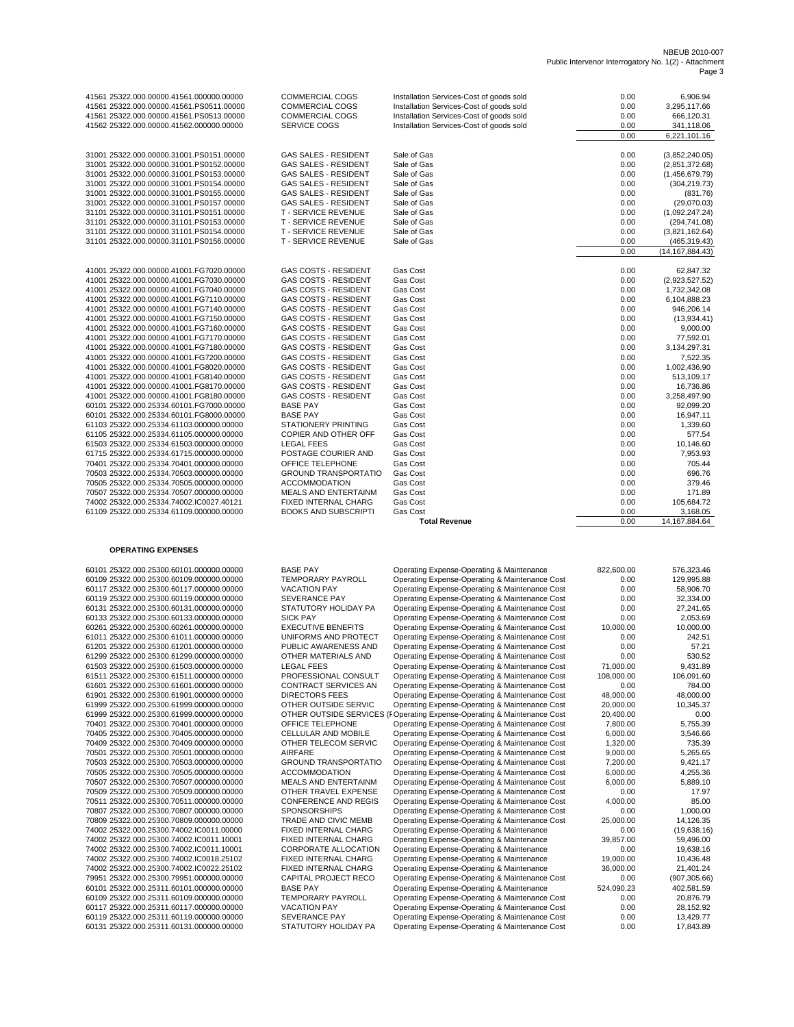## NBEUB 2010-007 Public Intervenor Interrogatory No. 1(2) - Attachment Page 3

|                                                                                      |                                                     | Installation Services-Cost of goods sold                                                    | 0.00              | 6,906.94                   |
|--------------------------------------------------------------------------------------|-----------------------------------------------------|---------------------------------------------------------------------------------------------|-------------------|----------------------------|
| 41561 25322.000.00000.41561.000000.00000<br>41561 25322.000.00000.41561.PS0511.00000 | <b>COMMERCIAL COGS</b><br><b>COMMERCIAL COGS</b>    |                                                                                             | 0.00              |                            |
| 41561 25322.000.00000.41561.PS0513.00000                                             | <b>COMMERCIAL COGS</b>                              | Installation Services-Cost of goods sold<br>Installation Services-Cost of goods sold        | 0.00              | 3,295,117.66               |
| 41562 25322.000.00000.41562.000000.00000                                             | SERVICE COGS                                        | Installation Services-Cost of goods sold                                                    |                   | 666,120.31                 |
|                                                                                      |                                                     |                                                                                             | 0.00<br>0.00      | 341,118.06<br>6,221,101.16 |
|                                                                                      |                                                     |                                                                                             |                   |                            |
| 31001 25322.000.00000.31001.PS0151.00000                                             | <b>GAS SALES - RESIDENT</b>                         | Sale of Gas                                                                                 | 0.00              | (3,852,240.05)             |
| 31001 25322.000.00000.31001.PS0152.00000                                             | <b>GAS SALES - RESIDENT</b>                         | Sale of Gas                                                                                 | 0.00              | (2,851,372.68)             |
| 31001 25322.000.00000.31001.PS0153.00000                                             | <b>GAS SALES - RESIDENT</b>                         | Sale of Gas                                                                                 | 0.00              | (1,456,679.79)             |
| 31001 25322.000.00000.31001.PS0154.00000                                             | <b>GAS SALES - RESIDENT</b>                         | Sale of Gas                                                                                 | 0.00              | (304, 219.73)              |
| 31001 25322.000.00000.31001.PS0155.00000                                             | <b>GAS SALES - RESIDENT</b>                         | Sale of Gas                                                                                 | 0.00              | (831.76)                   |
| 31001 25322.000.00000.31001.PS0157.00000                                             | <b>GAS SALES - RESIDENT</b>                         | Sale of Gas                                                                                 | 0.00              | (29,070.03)                |
| 31101 25322.000.00000.31101.PS0151.00000                                             | <b>T - SERVICE REVENUE</b>                          | Sale of Gas                                                                                 | 0.00              | (1,092,247.24)             |
| 31101 25322.000.00000.31101.PS0153.00000                                             | T - SERVICE REVENUE                                 | Sale of Gas                                                                                 | 0.00              | (294, 741.08)              |
| 31101 25322.000.00000.31101.PS0154.00000                                             | <b>T - SERVICE REVENUE</b>                          | Sale of Gas                                                                                 | 0.00              | (3,821,162.64)             |
| 31101 25322.000.00000.31101.PS0156.00000                                             | <b>T - SERVICE REVENUE</b>                          | Sale of Gas                                                                                 | 0.00              | (465, 319.43)              |
|                                                                                      |                                                     |                                                                                             | 0.00              | (14, 167, 884.43)          |
|                                                                                      |                                                     |                                                                                             |                   |                            |
| 41001 25322.000.00000.41001.FG7020.00000                                             | <b>GAS COSTS - RESIDENT</b>                         | Gas Cost                                                                                    | 0.00              | 62,847.32                  |
| 41001 25322.000.00000.41001.FG7030.00000                                             | <b>GAS COSTS - RESIDENT</b>                         | Gas Cost                                                                                    | 0.00              | (2,923,527.52)             |
| 41001 25322.000.00000.41001.FG7040.00000                                             | <b>GAS COSTS - RESIDENT</b>                         | Gas Cost                                                                                    | 0.00              | 1,732,342.08               |
| 41001 25322.000.00000.41001.FG7110.00000                                             | <b>GAS COSTS - RESIDENT</b>                         | Gas Cost                                                                                    | 0.00              | 6,104,888.23               |
| 41001 25322.000.00000.41001.FG7140.00000                                             | <b>GAS COSTS - RESIDENT</b>                         | Gas Cost                                                                                    | 0.00              | 946,206.14                 |
| 41001 25322.000.00000.41001.FG7150.00000                                             | <b>GAS COSTS - RESIDENT</b>                         | Gas Cost                                                                                    | 0.00              | (13,934.41)                |
| 41001 25322.000.00000.41001.FG7160.00000                                             | <b>GAS COSTS - RESIDENT</b>                         | Gas Cost                                                                                    | 0.00              | 9,000.00                   |
| 41001 25322.000.00000.41001.FG7170.00000                                             | <b>GAS COSTS - RESIDENT</b>                         | Gas Cost                                                                                    | 0.00              | 77,592.01                  |
| 41001 25322.000.00000.41001.FG7180.00000                                             | <b>GAS COSTS - RESIDENT</b>                         | Gas Cost                                                                                    | 0.00              | 3,134,297.31               |
| 41001 25322.000.00000.41001.FG7200.00000                                             | <b>GAS COSTS - RESIDENT</b>                         | Gas Cost                                                                                    | 0.00              | 7,522.35                   |
| 41001 25322.000.00000.41001.FG8020.00000                                             | <b>GAS COSTS - RESIDENT</b>                         | Gas Cost                                                                                    | 0.00              | 1,002,436.90               |
| 41001 25322.000.00000.41001.FG8140.00000                                             | <b>GAS COSTS - RESIDENT</b>                         | Gas Cost                                                                                    | 0.00              | 513,109.17                 |
| 41001 25322.000.00000.41001.FG8170.00000                                             | <b>GAS COSTS - RESIDENT</b>                         | Gas Cost                                                                                    | 0.00              | 16,736.86                  |
| 41001 25322.000.00000.41001.FG8180.00000                                             | <b>GAS COSTS - RESIDENT</b>                         | Gas Cost                                                                                    | 0.00              | 3,258,497.90               |
| 60101 25322.000.25334.60101.FG7000.00000                                             | <b>BASE PAY</b>                                     | Gas Cost                                                                                    | 0.00              | 92,099.20                  |
| 60101 25322.000.25334.60101.FG8000.00000                                             | <b>BASE PAY</b>                                     | Gas Cost                                                                                    | 0.00              | 16,947.11                  |
| 61103 25322.000.25334.61103.000000.00000                                             | STATIONERY PRINTING                                 | Gas Cost                                                                                    | 0.00              | 1,339.60                   |
| 61105 25322.000.25334.61105.000000.00000                                             | COPIER AND OTHER OFF                                | Gas Cost                                                                                    | 0.00              | 577.54                     |
| 61503 25322.000.25334.61503.000000.00000                                             | <b>LEGAL FEES</b>                                   | <b>Gas Cost</b>                                                                             | 0.00              | 10,146.60                  |
| 61715 25322.000.25334.61715.000000.00000                                             | POSTAGE COURIER AND                                 | Gas Cost                                                                                    | 0.00              | 7,953.93                   |
| 70401 25322.000.25334.70401.000000.00000                                             | OFFICE TELEPHONE                                    | Gas Cost                                                                                    | 0.00              | 705.44                     |
| 70503 25322.000.25334.70503.000000.00000                                             | <b>GROUND TRANSPORTATIO</b>                         | Gas Cost                                                                                    | 0.00              | 696.76                     |
| 70505 25322.000.25334.70505.000000.00000                                             | <b>ACCOMMODATION</b>                                | <b>Gas Cost</b>                                                                             | 0.00              | 379.46                     |
|                                                                                      |                                                     |                                                                                             |                   |                            |
| 70507 25322.000.25334.70507.000000.00000                                             |                                                     | <b>Gas Cost</b>                                                                             |                   | 171.89                     |
| 74002 25322.000.25334.74002.IC0027.40121                                             | MEALS AND ENTERTAINM<br>FIXED INTERNAL CHARG        | <b>Gas Cost</b>                                                                             | 0.00              |                            |
| 61109 25322.000.25334.61109.000000.00000                                             | <b>BOOKS AND SUBSCRIPTI</b>                         | Gas Cost                                                                                    | 0.00<br>0.00      | 105,684.72<br>3,168.05     |
|                                                                                      |                                                     | <b>Total Revenue</b>                                                                        | 0.00              | 14, 167, 884. 64           |
|                                                                                      |                                                     |                                                                                             |                   |                            |
|                                                                                      |                                                     |                                                                                             |                   |                            |
| <b>OPERATING EXPENSES</b>                                                            |                                                     |                                                                                             |                   |                            |
|                                                                                      |                                                     |                                                                                             |                   |                            |
| 60101 25322.000.25300.60101.000000.00000                                             | <b>BASE PAY</b>                                     | Operating Expense-Operating & Maintenance                                                   | 822,600.00        | 576,323.46                 |
| 60109 25322.000.25300.60109.000000.00000                                             | TEMPORARY PAYROLL                                   | Operating Expense-Operating & Maintenance Cost                                              | 0.00              | 129,995.88                 |
| 60117 25322.000.25300.60117.000000.00000                                             | <b>VACATION PAY</b>                                 | Operating Expense-Operating & Maintenance Cost                                              | 0.00              | 58,906.70                  |
| 60119 25322.000.25300.60119.000000.00000                                             | SEVERANCE PAY                                       | Operating Expense-Operating & Maintenance Cost                                              | 0.00              | 32,334.00                  |
| 60131 25322.000.25300.60131.000000.00000                                             | STATUTORY HOLIDAY PA                                | Operating Expense-Operating & Maintenance Cost                                              | 0.00              | 27,241.65                  |
| 60133 25322.000.25300.60133.000000.00000                                             | <b>SICK PAY</b>                                     | Operating Expense-Operating & Maintenance Cost                                              | 0.00              | 2,053.69                   |
| 60261 25322.000.25300.60261.000000.00000                                             | <b>EXECUTIVE BENEFITS</b>                           | Operating Expense-Operating & Maintenance Cost                                              | 10,000.00         | 10,000.00                  |
| 61011 25322.000.25300.61011.000000.00000                                             | UNIFORMS AND PROTECT                                | Operating Expense-Operating & Maintenance Cost                                              | 0.00              | 242.51                     |
| 61201 25322.000.25300.61201.000000.00000                                             | PUBLIC AWARENESS AND                                | Operating Expense-Operating & Maintenance Cost                                              | 0.00              | 57.21                      |
| 61299 25322.000.25300.61299.000000.00000                                             | OTHER MATERIALS AND                                 | Operating Expense-Operating & Maintenance Cost                                              | 0.00              | 530.52                     |
| 61503 25322.000.25300.61503.000000.00000                                             | <b>LEGAL FEES</b>                                   | Operating Expense-Operating & Maintenance Cost                                              | 71,000.00         | 9,431.89                   |
| 61511 25322.000.25300.61511.000000.00000                                             | PROFESSIONAL CONSULT                                | Operating Expense-Operating & Maintenance Cost                                              | 108,000.00        | 106,091.60                 |
| 61601 25322.000.25300.61601.000000.00000                                             | CONTRACT SERVICES AN                                | Operating Expense-Operating & Maintenance Cost                                              | 0.00              | 784.00                     |
| 61901 25322.000.25300.61901.000000.00000                                             | DIRECTORS FEES                                      | Operating Expense-Operating & Maintenance Cost                                              | 48,000.00         | 48,000.00                  |
| 61999 25322.000.25300.61999.000000.00000                                             | OTHER OUTSIDE SERVIC                                | Operating Expense-Operating & Maintenance Cost                                              | 20,000.00         | 10,345.37                  |
| 61999 25322.000.25300.61999.000000.00000                                             |                                                     | OTHER OUTSIDE SERVICES (FOperating Expense-Operating & Maintenance Cost                     | 20,400.00         | 0.00                       |
| 70401 25322.000.25300.70401.000000.00000                                             | OFFICE TELEPHONE                                    | Operating Expense-Operating & Maintenance Cost                                              | 7,800.00          | 5,755.39                   |
| 70405 25322.000.25300.70405.000000.00000                                             | CELLULAR AND MOBILE                                 | Operating Expense-Operating & Maintenance Cost                                              | 6,000.00          | 3,546.66                   |
| 70409 25322.000.25300.70409.000000.00000                                             | OTHER TELECOM SERVIC                                | Operating Expense-Operating & Maintenance Cost                                              | 1,320.00          | 735.39                     |
| 70501 25322.000.25300.70501.000000.00000                                             | AIRFARE                                             | Operating Expense-Operating & Maintenance Cost                                              | 9,000.00          | 5,265.65                   |
| 70503 25322.000.25300.70503.000000.00000                                             | <b>GROUND TRANSPORTATIO</b>                         | Operating Expense-Operating & Maintenance Cost                                              | 7,200.00          | 9,421.17                   |
| 70505 25322.000.25300.70505.000000.00000                                             | <b>ACCOMMODATION</b><br><b>MEALS AND ENTERTAINM</b> | Operating Expense-Operating & Maintenance Cost                                              | 6,000.00          | 4,255.36                   |
| 70507 25322.000.25300.70507.000000.00000<br>70509 25322.000.25300.70509.000000.00000 |                                                     | Operating Expense-Operating & Maintenance Cost                                              | 6,000.00          | 5,889.10                   |
|                                                                                      | OTHER TRAVEL EXPENSE                                | Operating Expense-Operating & Maintenance Cost                                              | 0.00              | 17.97                      |
| 70511 25322.000.25300.70511.000000.00000<br>70807 25322.000.25300.70807.000000.00000 | CONFERENCE AND REGIS<br><b>SPONSORSHIPS</b>         | Operating Expense-Operating & Maintenance Cost                                              | 4,000.00          | 85.00                      |
|                                                                                      |                                                     | Operating Expense-Operating & Maintenance Cost                                              | 0.00              | 1,000.00                   |
| 70809 25322.000.25300.70809.000000.00000<br>74002 25322.000.25300.74002.IC0011.00000 | TRADE AND CIVIC MEMB<br>FIXED INTERNAL CHARG        | Operating Expense-Operating & Maintenance Cost<br>Operating Expense-Operating & Maintenance | 25,000.00<br>0.00 | 14,126.35<br>(19,638.16)   |
| 74002 25322.000.25300.74002.IC0011.10001                                             | FIXED INTERNAL CHARG                                | Operating Expense-Operating & Maintenance                                                   | 39,857.00         | 59,496.00                  |
| 74002 25322.000.25300.74002.IC0011.10001                                             | CORPORATE ALLOCATION                                | Operating Expense-Operating & Maintenance                                                   | 0.00              | 19,638.16                  |
| 74002 25322.000.25300.74002.IC0018.25102                                             | FIXED INTERNAL CHARG                                | Operating Expense-Operating & Maintenance                                                   | 19,000.00         | 10,436.48                  |
| 74002 25322.000.25300.74002.IC0022.25102                                             | FIXED INTERNAL CHARG                                | Operating Expense-Operating & Maintenance                                                   | 36,000.00         | 21,401.24                  |
| 79951 25322.000.25300.79951.000000.00000                                             | CAPITAL PROJECT RECO                                | Operating Expense-Operating & Maintenance Cost                                              | 0.00              | (907, 305.66)              |
| 60101 25322.000.25311.60101.000000.00000                                             | <b>BASE PAY</b>                                     | Operating Expense-Operating & Maintenance                                                   | 524,090.23        | 402,581.59                 |
| 60109 25322.000.25311.60109.000000.00000                                             | TEMPORARY PAYROLL                                   | Operating Expense-Operating & Maintenance Cost                                              | 0.00              | 20,876.79                  |

60119 25322.000.25311.60119.00000.00000 SEVERANCE PAY Operating Expense-Operating & Maintenance Cost 0.00 13,429.77<br>60131 25322.000.25311.60131.00000.00000 STATUTORY HOLIDAY PA Operating Expense-O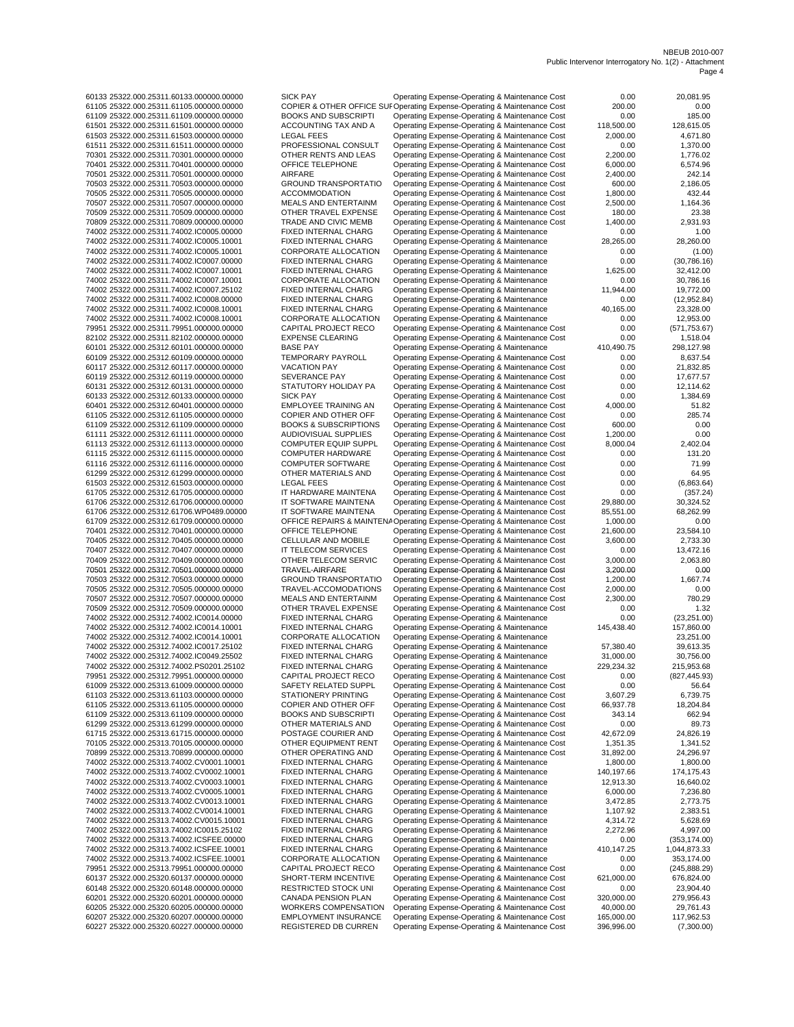60133 25322.000.25311.60133.000000.00000 SICK PAY Operating Expense-Operating & Maintenance Cost 0.00 20,081.95 61105 25322.000.25311.61105.000000.00000 COPIER & OTHER OFFICE SUPOperating Expense-Operating & Maintenance Cost 200.00 0.00 0.00<br>61109 25322.000.25311.61109.000000.00000 BOOKS AND SUBSCRIPTI Operating Expense-Operating & 61109 25322.000.25311.61109.000000.00000 BOOKS AND SUBSCRIPTI Operating Expense-Operating & Maintenance Cost 0.00 185.00 Operating Expense-Operating & Maintenance Cost 61503 25322.000.25311.61503.000000.00000 LEGAL FEES Operating Expense-Operating & Maintenance Cost 2,000.00 4,671.80 61511 25322.000.25311.61511.000000.00000 PROFESSIONAL CONSULT Operating Expense-Operating & Maintenance Cost 0.00 1,370.00 70301 25322.000.25311.70301.000000.00000 OTHER RENTS AND LEAS Operating Expense-Operating & Maintenance Cost 2,200.00 1,776.02 70401 25322.000.25311.70401.000000.00000 OFFICE TELEPHONE Operating Expense-Operating & Maintenance Cost 6,000.00 6,574.96 70501 25322.000.25311.70501.000000.00000 AIRFARE Operating Expense-Operating & Maintenance Cost 2,400.00 242.14 Operating Expense-Operating & Maintenance Cost 70505 25322.000.25311.70505.000000.00000 ACCOMMODATION Operating Expense-Operating & Maintenance Cost 1,800.00 432.44 70507 25322.000.25311.70507.000000.00000 MEALS AND ENTERTAINM Operating Expense-Operating & Maintenance Cost 2,500.00 1,164.36 70509 25322.000.25311.70509.000000.00000 OTHER TRAVEL EXPENSE Operating Expense-Operating & Maintenance Cost 180.00 23.38 Operating Expense-Operating & Maintenance Cost 74002 25322.000.25311.74002.IC0005.00000 FIXED INTERNAL CHARG Operating Expense-Operating & Maintenance 0.00 1.00 74002 25322.000.25311.74002.IC0005.10001 FIXED INTERNAL CHARG Operating Expense-Operating & Maintenance<br>74002 25322.000.25311.74002.IC0005.10001 CORPORATE ALLOCATION Operating Expense-Operating & Maintenance 74002 25322.000.25311.74002.IC0005.10001 CORPORATE ALLOCATION Operating Expense-Operating & Maintenance 0.00 (1.00) 74002 25322.000.25311.74002.IC0007.00000 FIXED INTERNAL CHARG Operating Expense-Operating & Maintenance 0.00 (30,786.16) FIXED INTERNAL CHARG Operating Expense-Operating & Maintenance 1,625.00 32,412.00<br>CORPORATE ALLOCATION Operating Expense-Operating & Maintenance 0.00 30,786.16 74002 25322.000.25311.74002.IC0007.10001 CORPORATE ALLOCATION Operating Expense-Operating & Maintenance 0.00 30,786.16 Operating Expense-Operating & Maintenance 74002 25322.000.25311.74002.IC0008.00000 FIXED INTERNAL CHARG Operating Expense-Operating & Maintenance 0.00 (12,952.84) 74002 25322.000.25311.74002.IC0008.10001 FIXED INTERNAL CHARG Operating Expense-Operating & Maintenance 40,165.00 23,328.00 74002 25322.000.25311.74002.IC0008.10001 CORPORATE ALLOCATION Operating Expense-Operating & Maintenance 0.00 12,953.00 79951 25322.000.25311.79951.000000.00000 CAPITAL PROJECT RECO Operating Expense-Operating & Maintenance Cost<br>82102 25322.000.25311.82102.00000.00000 EXPENSE CLEARING Operating Expense-Operating & Maintenance Cost 829 Operating Expense-Operating & Maintenance Cost 0.00 1,518.04<br>1518.04 12 298 Operating & Maintenance 110.490.75 298 127.98 60101 25322.000.25312.60101.000000.00000 BASE PAY Operating Expense-Operating & Maintenance 410,490.75 298,127.98 60109 25322.000.25312.60109.000000.00000 TEMPORARY PAYROLL Operating Expense-Operating & Maintenance Cost 0.00<br>60117 25322.000.25312.60107.00000.00000 VACATION PAY Operating Expense-Operating & Maintenance Cost 0.00 21,832 60117 25322.000.25312.60117.000000.00000 VACATION PAY Operating Expense-Operating & Maintenance Cost 0.00 21,832.85 60119 25322.000.25312.60119.000000.00000 SEVERANCE PAY Operating Expense-Operating & Maintenance Cost 0.00 17,677.57 Operating Expense-Operating & Maintenance Cost 0.00 60133 25322.000.25312.60133.000000.00000 SICK PAY Operating Expense-Operating & Maintenance Cost 0.00 1,384.69 60401 25322.000.25312.60401.000000.00000 EMPLOYEE TRAINING AN Operating Expense-Operating & Maintenance Cost 4,000.00 51.82 61105 25322.000.25312.61105.000000.00000 COPIER AND OTHER OFF Operating Expense-Operating & Maintenance Cost 0.00 285.74 61109 25322.000.25312.61109.000000.00000 BOOKS & SUBSCRIPTIONS Operating Expense-Operating & Maintenance Cost 600.00 0.00 61111 25322.000.25312.61111.000000.00000 AUDIOVISUAL SUPPLIES Operating Expense-Operating & Maintenance Cost 1,200.00 0.00 61113 25322.000.25312.61113.000000.00000 COMPUTER EQUIP SUPPL Operating Expense-Operating & Maintenance Cost 8,000.04 2,402.04 COMPUTER HARDWARE Operating Expense-Operating & Maintenance Cost<br>COMPUTER SOFTWARE Operating Expense-Operating & Maintenance Cost 61116 25322.000.25312.61116.000000.00000 COMPUTER SOFTWARE Operating Expense-Operating & Maintenance Cost 0.00<br>61299 25322.000.25312.61116.000000.00000 COMPUTER MATERIALS AND Operating Expense-Operating & Maintenance Cost 61299 25322.000.25312.61299.000000.00000 OTHER MATERIALS AND Operating Expense-Operating & Maintenance Cost 0.00 64.95 61503 25322.000.25312.61503.00000.00000 LEGAL FEES <br>61705 25322.000.25312.61705.00000.00000 IT HARDWARE MAINTENA Operating Expense-Operating & Maintenance Cost 0.00 (6,863.64) Operating Expense-Operating & Maintenance Cost 61706 25322.000.25312.61706.000000.00000 IT SOFTWARE MAINTENA Operating Expense-Operating & Maintenance Cost 29,880.00 30,324.52 61706 25322.000.25312.61706.WP0489.00000 IT SOFTWARE MAINTENA Operating Expense-Operating & Maintenance Cost 85,551.00 68,262.99 61709 25322.000.25312.61709.000000.00000 OFFICE REPAIRS & MAINTENAOperating Expense-Operating & Maintenance Cost 1,000.00 0.00 70401 25322.000.25312.70401.000000.00000 OFFICE TELEPHONE Operating Expense-Operating & Maintenance Cost 21,600.00 23,584.10 70405 25322.000.25312.70405.000000.00000 CELLULAR AND MOBILE Operating Expense-Operating & Maintenance Cost 3,600.00 2,733.30 17 TELECOM SERVICES Operating Expense-Operating & Maintenance Cost 0.00<br>1.000.000 OTHER TELECOM SERVIC Operating Expense-Operating & Maintenance Cost 3,000.00 70409 25322.000.25312.70409.000000.00000 OTHER TELECOM SERVIC Operating Expense-Operating & Maintenance Cost 3,000.00 2,063.80 70501 25322.000.25312.70501.000000.00000 TRAVEL AIRFARE -AIRFAREOperating Expense Operating Expense Operating -Operating & Maintenance Cost & Maintenance 3,200.00 0.00 70503 25322.000.25312.70503.000000.00000 GROUND TRANSPORTATIO Operating Expense-Operating & Maintenance Cost 1,200.00 1,667.74 70505 25322.000.25312.70505.000000.00000 TRAVEL-ACCOMODATIONS Operating Expense-Operating & Maintenance Cost 2,000.00 0.00 Operating Expense-Operating & Maintenance Cost 70509 25322.000.25312.70509.00000.00000 OTHER TRAVEL EXPENSE Operating Expense-Operating & Maintenance Cost 0.00 1.32<br>74002 25322.000.25312.74002.IC0014.00000 FIXED INTERNAL CHARG Operating Expense-Operating & Maintenance FIXED INTERNAL CHARG Operating Expense-Operating & Maintenance 0.00 (23,251.00)<br>FIXED INTERNAL CHARG Operating Expense-Operating & Maintenance 145,438.40 157,860.00 74002 25322.000.25312.74002.IC0014.10001 FIXED INTERNAL CHARG Operating Expense-Operating & Maintenance 145,438.40 157,860.00 74002 25322.000.25312.74002.IC0014.10001 CORPORATE ALLOCATION Operating Expense-Operating & Maintenance 23,251.00 FIXED INTERNAL CHARG Operating Expense-Operating & Maintenance 57,380.40 39,613.35<br>
FIXED INTERNAL CHARG Operating Expense-Operating & Maintenance 31,000.00 30,756.00 74002 25322.000.25312.74002.IC0049.25502 74002 25322.000.25312.74002.PS0201.25102 FIXED INTERNAL CHARG Operating Expense-Operating & Maintenance 229,234.32 215,953.68 79951 25322.000.25312.79951.000000.00000 CAPITAL PROJECT RECO Operating Expense-Operating & Maintenance Cost 0.00 (827,445.93) 61009 25322.000.25313.61009.000000.00000 SAFETY RELATED SUPPL Operating Expense-Operating & Maintenance Cost 0.00 56.64 61103 25322.000.25313.61103.000000.00000 STATIONERY PRINTING Operating Expense-Operating & Maintenance Cost 3,607.29 6,739.75 Operating Expense-Operating & Maintenance Cost 61109 25322.000.25313.61109.000000.00000 BOOKS AND SUBSCRIPTI Operating Expense-Operating & Maintenance Cost 343.14 662.94 61299 25322.000.25313.61299.000000.00000 OTHER MATERIALS AND Operating Expense-Operating & Maintenance Cost 0.00 89.73 61715 25322.000.25313.61715.000000.00000 POSTAGE COURIER AND Operating Expense-Operating & Maintenance Cost 42,672.09 24,826.19 70105 25322.000.25313.70105.000000.00000 OTHER EQUIPMENT RENT Operating Expense-Operating & Maintenance Cost 1,351.35 1,341.52 70899 25322.000.25313.70899.000000.00000 OTHER OPERATING AND Operating Expense-Operating & Maintenance Cost 31,892.00 24,296.97 Operating Expense-Operating & Maintenance 74002 25322.000.25313.74002.CV0002.10001 FIXED INTERNAL CHARG Operating Expense-Operating & Maintenance 140,197.66 174,175.43 FIXED INTERNAL CHARG Operating Expense-Operating & Maintenance 12,913.30 16,640.02<br>16,000.00 17,236.80 The operating Expense-Operating & Maintenance 6,000.00 7,236.80 74002 25322.000.25313.74002.CV0005.10001 FIXED INTERNAL CHARG Operating Expense-Operating & Maintenance 6,000.00 7,236.80 74002 25322.000.25313.74002.CV0013.10001 FIXED INTERNAL CHARG Operating Expense-Operating & Maintenance 3,472.85 2,773.75 74002 25322.000.25313.74002.CV0014.10001 FIXED INTERNAL CHARG Operating Expense-Operating & Maintenance 1,107.92 2,383.51 74002 25322.000.25313.74002.CV0015.10001 74002 25322.000.25313.74002.IC0015.25102 FIXED INTERNAL CHARG Operating Expense-Operating & Maintenance 2,272.96 4,997.00 74002 25322.000.25313.74002.ICSFEE.00000 FIXED INTERNAL CHARG Operating Expense-Operating & Maintenance 0.00 (353,174.00) 74002 25322.000.25313.74002.ICSFEE.10001 FIXED INTERNAL CHARG Operating Expense-Operating & Maintenance 410,147.25 1,044,873.33 74002 25322.000.25313.74002.ICSFEE.10001 CORPORATE ALLOCATION Operating Expense-Operating & Maintenance 0.00 353,174.00 Operating Expense-Operating & Maintenance Cost 60137 25322.000.25320.60137.000000.00000 SHORT-TERM INCENTIVE Operating Expense-Operating & Maintenance Cost 621,000.00 676,824.00 60148 25322.000.25320.60148.000000.00000 RESTRICTED STOCK UNI Operating Expense-Operating & Maintenance Cost 0.00 23,904.40 60201 25322.000.25320.60201.000000.00000 CANADA PENSION PLAN Operating Expense-Operating & Maintenance Cost 320,000.00 279,956.43 60205 25322.000.25320.60205.000000.00000 WORKERS COMPENSATION Operating Expense-Operating & Maintenance Cost 40,000.00 29,761.43 60207 25322.000.25320.60207.000000.00000 EMPLOYMENT INSURANCE Operating Expense-Operating & Maintenance Cost 165,000.00 117,962.53

Operating Expense-Operating & Maintenance Cost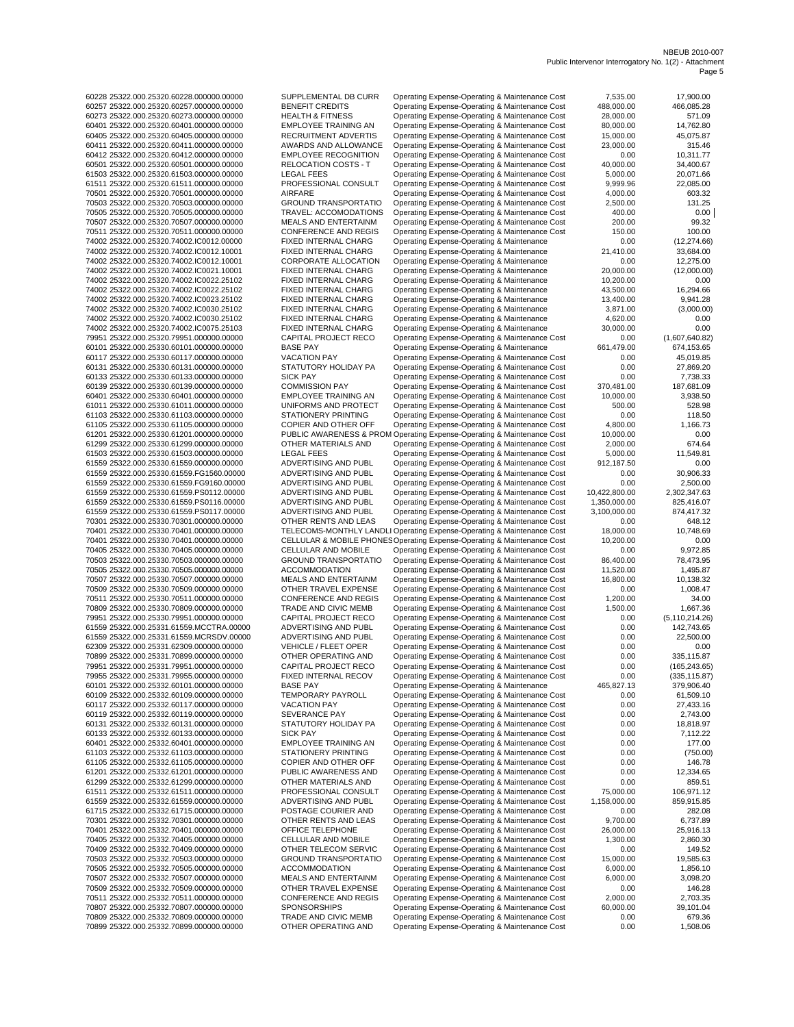60405 25322.000.25320.60405.00000.00000 RECRUITMENT ADVERTIS Operating Expense-Operating & Maintenance Cost 15,000.00<br>60411 25322.000.25320.60411.000000.00000 AWARDS AND ALLOWANCE Operating Expense-Operating & Maintenance 61503 25322.000.25330.61503.000000.00000 LEGAL FEES Operating Expense-Operating & Maintenance Cost 5,000.00 11,549.81 60401 25322.000.25332.60401.000000.00000 EMPLOYEE TRAINING AN Operating Expense-Operating & Maintenance Cost 0.00 177.00

60228 25322.000.25320.60228.000000.00000 SUPPLEMENTAL DB CURR Operating Expense-Operating & Maintenance Cost 7,535.00 17,900.00 60257 25322.000.25320.60257.000000.00000 BENEFIT CREDITS Operating Expense-Operating & Maintenance Cost 488,000.00 466,085.28 60273 25322.000.25320.60273.000000.00000 HEALTH & FITNESS Operating Expense-Operating & Maintenance Cost 28,000.00 571.09 60401 25322.000.25320.60401.000000.00000 EMPLOYEE TRAINING AN Operating Expense-Operating & Maintenance Cost 80,000.00 14,762.80 60411 25322.000.25320.60411.000000.00000 AWARDS AND ALLOWANCE Operating Expense-Operating & Maintenance Cost 23,000.00 315.46 60412 25322.000.25320.60412.000000.00000 EMPLOYEE RECOGNITION Operating Expense-Operating & Maintenance Cost 0.00 10,311.77 60501 25322.000.25320.60501.000000.00000 RELOCATION COSTS - T Operating Expense-Operating & Maintenance Cost 40,000.00 34,400.67 61503 25322.000.25320.61503.000000.00000 LEGAL FEES COPERATING Expense-Operating & Maintenance Cost 5,000.00 20,071.66<br>61511 25322.000.25320.61511.000000.00000 PROFESSIONAL CONSULT Operating Expense-Operating & Operating Expense-Operating & Maintenance Cost 70501 25322.000.25320.70501.000000.00000 AIRFARE Operating Expense-Operating & Maintenance Cost 4,000.00 603.32 70503 25322.000.25320.70503.000000.00000 GROUND TRANSPORTATIO Operating Expense-Operating & Maintenance Cost 2,500.00 131.25<br>| 70505 25322.000.25320.70505.00000.00000 TRAVEL: ACCOMODATIONS Operating Expense-Operating & Mai 70505 25322.000.25320.70505.000000.00000 TRAVEL: ACCOMODATIONS Operating Expense-Operating & Maintenance Cost 400.00 0.00 Operating Expense-Operating & Maintenance Cost 70511 25322.000.25320.70511.000000.00000 CONFERENCE AND REGIS Operating Expense-Operating & Maintenance Cost 150.00 100.00 74002 25322.000.25320.74002.IC0012.00000 FIXED INTERNAL CHARG Operating Expense-Operating & Maintenance 0.00 (12,274.66) FIXED INTERNAL CHARG Operating Expense-Operating & Maintenance 21,410.00 33,684.00<br>CORPORATE ALLOCATION Operating Expense-Operating & Maintenance 0.00 12,275.00 74002 25322.000.25320.74002.IC0012.10001 CORPORATE ALLOCATION Operating Expense-Operating & Maintenance 0.00 12,275.00 71XED INTERNAL CHARG Operating Expense-Operating & Maintenance 20,000.00 (12,000.00)<br>71.0200.00 (12,000.00) FIXED INTERNAL CHARG Operating Expense-Operating & Maintenance 10,200.00 74002 25322.000.25320.74002.IC0022.25102 FIXED INTERNAL CHARG Operating Expense-Operating & Maintenance 10,200.00 0.00 Operating Expense-Operating & Maintenance 74002 25322.000.25320.74002.IC0023.25102 FIXED INTERNAL CHARG Operating Expense-Operating & Maintenance 13,400.00 9,941.28 74002 25322.000.25320.74002.IC0030.25102 FIXED INTERNAL CHARG Operating Expense-Operating & Maintenance 3,871.00 (3,000.00) 71XED INTERNAL CHARG Operating Expense-Operating & Maintenance 4,620.00 0.00<br>1.000 0.00 0.00 0.00 FIXED INTERNAL CHARG Operating Expense-Operating & Maintenance 74002 25322.000.25320.74002.IC0075.25103 FIXED INTERNAL CHARG Operating Expense-Operating & Maintenance 30,000.00 0.00 79951 25322.000.25320.79951.000000.00000 CAPITAL PROJECT RECO Operating Expense-Operating & Maintenance Cost 0.00 (1,607,640.82) 60101 25322.000.25330.60101.000000.00000 BASE PAY Operating Expense-Operating & Maintenance 661,479.00 674,153.65 60117 25322.000.25330.60117.000000.00000 VACATION PAY Operating Expense-Operating & Maintenance Cost 0.00 45,019.85<br>60131 25322.000.25330.60131.000000.00000 STATUTORY HOLIDAY PA Operating Expense-Operating & Maintenance Co 60131 25322.000.25330.60131.000000.00000 STATUTORY HOLIDAY PA Operating Expense-Operating & Maintenance Cost 0.00 27,869.20 60133 25322.000.25330.60133.000000.00000 SICK PAY Operating Expense-Operating & Maintenance Cost 0.00 7,738.33 Operating Expense-Operating & Maintenance Cost 60401 25322.000.25330.60401.000000.00000 EMPLOYEE TRAINING AN Operating Expense-Operating & Maintenance Cost 10,000.00 3,938.50 61011 25322.000.25330.61011.000000.00000 UNIFORMS AND PROTECT Operating Expense-Operating & Maintenance Cost 500.00 528.98 61103 25322.000.25330.61103.000000.00000 STATIONERY PRINTING Operating Expense-Operating & Maintenance Cost 0.00 118.50 61105 25322.000.25330.61105.000000.00000 COPIER AND OTHER OFF Operating Expense-Operating & Maintenance Cost 4,800.00 1,166.73 61201 25322.000.25330.61201.000000.00000 PUBLIC AWARENESS & PROM Operating Expense-Operating & Maintenance Cost 10,000.00 0.00 61299 25322.000.25330.61299.000000.00000 OTHER MATERIALS AND Operating Expense-Operating & Maintenance Cost 2,000.00 674.64 61559 25322.000.25330.61559.000000.00000 ADVERTISING AND PUBL Operating Expense-Operating & Maintenance Cost 912,187.50 0.00 61559 25322.000.25330.61559.FG1560.00000 ADVERTISING AND PUBL Operating Expense-Operating & Maintenance Cost 0.00 30,906.33<br>61559 25322.000.25330.61559.FG9160.00000 ADVERTISING AND PUBL Operating Expense-Operating & Mainte 61559 25322.000.25330.61559.FG9160.00000 ADVERTISING AND PUBL Operating Expense-Operating & Maintenance Cost 0.00 2,500.00 Operating Expense-Operating & Maintenance Cost 61559 25322.000.25330.61559.PS0116.00000 ADVERTISING AND PUBL Operating Expense-Operating & Maintenance Cost 1,350,000.00 825,416.07 61559 25322.000.25330.61559.PS0117.00000 ADVERTISING AND PUBL Operating Expense-Operating & Maintenance Cost 3,100,000.00 874,417.32 70301 25322.000.25330.70301.000000.00000 OTHER RENTS AND LEAS Operating Expense-Operating & Maintenance Cost 0.00 648.12 70401 25322.000.25330.70401.000000.00000 TELECOMS-MONTHLY LANDLI Operating Expense-Operating & Maintenance Cost 18,000.00 10,748.69 70401 25322.000.25330.70401.000000.00000 CELLULAR & MOBILE PHONESOperating Expense-Operating & Maintenance Cost 10,200.00 0.00 The Taylense-Operating & Maintenance Cost 0.000<br>
26.400.000 Cherating Expense-Operating & Maintenance Cost 86.400.00 70503 25322.000.25330.70503.000000.00000 GROUND TRANSPORTATIO Operating Expense-Operating & Maintenance Cost 86,400.00 78,473.95 70505 25322.000.25330.70505.000000.00000 ACCOMMODATION Operating Expense-Operating & Maintenance Cost 11,520.00 1,495.87<br>70507 25322.000.25330.70507.00000.00000 MEALS AND ENTERTAINM Operating Expense-Operating & Maintenanc 70507 25322.000.25330.70507.000000.00000 MEALS AND ENTERTAINM Operating Expense-Operating & Maintenance Cost 16,800.00 10,138.32 70509 25322.000.25330.70509.000000.00000 OTHER TRAVEL EXPENSE Operating Expense-Operating & Maintenance Cost 0.00 1,008.47 Operating Expense-Operating & Maintenance Cost 70809 25322.000.25330.70809.000000.00000 TRADE AND CIVIC MEMB Operating Expense-Operating & Maintenance Cost 1,500.00 1,667.36 79951 25322.000.25330.79951.000000.00000 CAPITAL PROJECT RECO Operating Expense-Operating & Maintenance Cost 0.00 (5,110,214.26) 61559 25322.000.25331.61559.MCCTRA.00000 ADVERTISING AND PUBL Operating Expense-Operating & Maintenance Cost 0.00 142,743.65 61559 25322.000.25331.61559.MCRSDV.00000 ADVERTISING AND PUBL Operating Expense-Operating & Maintenance Cost 0.00 22,500.00 62309 25322.000.25331.62309.000000.00000 VEHICLE / FLEET OPER Operating Expense-Operating & Maintenance Cost 0.00 0.00 0.00<br>70899 25322.000.25331.70899.00000.00000 OTHER OPERATING AND Operating Expense-Operating & Maintena Operating Expense-Operating & Maintenance Cost 79951 25322.000.25331.79951.000000.00000 CAPITAL PROJECT RECO Operating Expense-Operating & Maintenance Cost 0.00 (165,243.65) 79955 25322.000.25331.79955.000000.00000 FIXED INTERNAL RECOV Operating Expense-Operating & Maintenance Cost 0.00 (335,115.87) 60101 25322.000.25332.60101.000000.00000 BASE PAY Operating Expense-Operating & Maintenance 465,827.13 379,906.40 60109 25322.000.25332.60109.000000.00000 TEMPORARY PAYROLL Operating Expense-Operating & Maintenance Cost 0.00 61,509.10 VACATION PAY <sup>Operating</sup> Expense-Operating & Maintenance Cost 3<br>SEVERANCE PAY Operating Expense-Operating & Maintenance Cost 60119 25322.000.25332.60119.000000.00000 SEVERANCE PAY Operating Expense-Operating & Maintenance Cost 0.00 2,743.00 60131 25322.000.25332.60131.000000.00000 STATUTORY HOLIDAY PA Operating Expense-Operating & Maintenance Cost 0.00 18,818.97 60133 25322.000.25332.60133.000000.00000 SICK PAY Operating Expense-Operating & Maintenance Cost 0.00 7,112.22<br>60401 25322.000.25332.60401.00000.00000 EMPLOYEE TRAINING AN Operating Expense-Operating & Maintenance Cost 0.0 61103 25322.000.25332.61103.000000.00000 STATIONERY PRINTING Operating Expense-Operating & Maintenance Cost 0.00 (750.00) Operating Expense-Operating & Maintenance Cost 61201 25322.000.25332.61201.000000.00000 PUBLIC AWARENESS AND Operating Expense-Operating & Maintenance Cost 0.00 12,334.65 61299 25322.000.25332.61299.000000.00000 OTHER MATERIALS AND Operating Expense-Operating & Maintenance Cost 0.00 859.51 61511 25322.000.25332.61511.000000.00000 PROFESSIONAL CONSULT Operating Expense-Operating & Maintenance Cost 75,000.00 106,971.12 61559 25322.000.25332.61559.000000.00000 ADVERTISING AND PUBL Operating Expense-Operating & Maintenance Cost 1,158,000.00 859,915.85 61715 25322.000.25332.61715.000000.00000 POSTAGE COURIER AND Operating Expense-Operating & Maintenance Cost 0.00 282.08 Operating Expense-Operating & Maintenance Cost 70401 25322.000.25332.70401.000000.00000 OFFICE TELEPHONE Operating Expense-Operating & Maintenance Cost 26,000.00 25,916.13 70405 25322.000.25332.70405.000000.00000 CELLULAR AND MOBILE Operating Expense-Operating & Maintenance Cost 1,300.00 2,860.30 70409 25322.000.25332.70409.000000.00000 OTHER TELECOM SERVIC Operating Expense-Operating & Maintenance Cost 0.00 149.52 70503 25322.000.25332.70503.000000.00000 GROUND TRANSPORTATIO Operating Expense-Operating & Maintenance Cost 15,000.00 19,585.63 Operating Expense-Operating & Maintenance Cost 70507 25322.000.25332.70507.000000.00000 MEALS AND ENTERTAINM Operating Expense-Operating & Maintenance Cost 6,000.00 3,098.20 70509 25322.000.25332.70509.000000.00000 OTHER TRAVEL EXPENSE Operating Expense-Operating & Maintenance Cost 0.00 146.28 70511 25322.000.25332.70511.000000.00000 CONFERENCE AND REGIS Operating Expense-Operating & Maintenance Cost 2,000.00 2,703.35 70807 25322.000.25332.70807.000000.00000 SPONSORSHIPS Operating Expense-Operating & Maintenance Cost 60,000.00 39,101.04 70809 25322.000.25332.70809.000000.00000 TRADE AND CIVIC MEMB Operating Expense-Operating & Maintenance Cost 0.00 679.36 Operating Expense-Operating & Maintenance Cost 0.00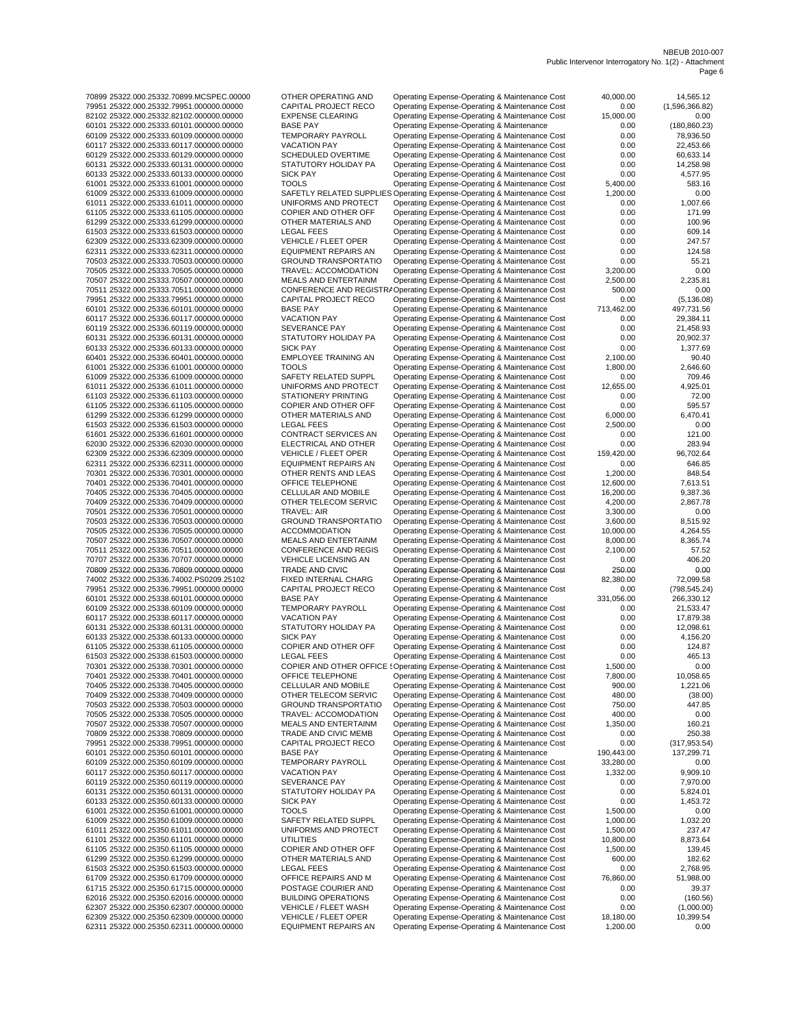| 70899 25322.000.25332.70899.MCSPEC.00000 | OTHER OPERATING AND                                                      | Operating Expense-Operating & Maintenance Cost | 40,000.00  | 14,565.12      |
|------------------------------------------|--------------------------------------------------------------------------|------------------------------------------------|------------|----------------|
|                                          |                                                                          |                                                |            |                |
| 79951 25322.000.25332.79951.000000.00000 | CAPITAL PROJECT RECO                                                     | Operating Expense-Operating & Maintenance Cost | 0.00       | (1,596,366.82) |
| 82102 25322.000.25332.82102.000000.00000 | <b>EXPENSE CLEARING</b>                                                  | Operating Expense-Operating & Maintenance Cost | 15,000.00  | 0.00           |
| 60101 25322.000.25333.60101.000000.00000 | <b>BASE PAY</b>                                                          | Operating Expense-Operating & Maintenance      | 0.00       | (180, 860.23)  |
| 60109 25322.000.25333.60109.000000.00000 | TEMPORARY PAYROLL                                                        | Operating Expense-Operating & Maintenance Cost | 0.00       | 78,936.50      |
| 60117 25322.000.25333.60117.000000.00000 | <b>VACATION PAY</b>                                                      | Operating Expense-Operating & Maintenance Cost | 0.00       | 22,453.66      |
| 60129 25322.000.25333.60129.000000.00000 | SCHEDULED OVERTIME                                                       | Operating Expense-Operating & Maintenance Cost | 0.00       | 60,633.14      |
| 60131 25322.000.25333.60131.000000.00000 | STATUTORY HOLIDAY PA                                                     | Operating Expense-Operating & Maintenance Cost | 0.00       | 14,258.98      |
| 60133 25322.000.25333.60133.000000.00000 | <b>SICK PAY</b>                                                          | Operating Expense-Operating & Maintenance Cost | 0.00       | 4,577.95       |
| 61001 25322.000.25333.61001.000000.00000 | <b>TOOLS</b>                                                             | Operating Expense-Operating & Maintenance Cost | 5,400.00   | 583.16         |
| 61009 25322.000.25333.61009.000000.00000 | SAFETLY RELATED SUPPLIES Operating Expense-Operating & Maintenance Cost  |                                                | 1,200.00   | 0.00           |
|                                          |                                                                          |                                                |            |                |
| 61011 25322.000.25333.61011.000000.00000 | UNIFORMS AND PROTECT                                                     | Operating Expense-Operating & Maintenance Cost | 0.00       | 1,007.66       |
| 61105 25322.000.25333.61105.000000.00000 | COPIER AND OTHER OFF                                                     | Operating Expense-Operating & Maintenance Cost | 0.00       | 171.99         |
| 61299 25322.000.25333.61299.000000.00000 | OTHER MATERIALS AND                                                      | Operating Expense-Operating & Maintenance Cost | 0.00       | 100.96         |
| 61503 25322.000.25333.61503.000000.00000 | <b>LEGAL FEES</b>                                                        | Operating Expense-Operating & Maintenance Cost | 0.00       | 609.14         |
| 62309 25322.000.25333.62309.000000.00000 | <b>VEHICLE / FLEET OPER</b>                                              | Operating Expense-Operating & Maintenance Cost | 0.00       | 247.57         |
| 62311 25322.000.25333.62311.000000.00000 | <b>EQUIPMENT REPAIRS AN</b>                                              | Operating Expense-Operating & Maintenance Cost | 0.00       | 124.58         |
| 70503 25322.000.25333.70503.000000.00000 | <b>GROUND TRANSPORTATIO</b>                                              | Operating Expense-Operating & Maintenance Cost | 0.00       | 55.21          |
| 70505 25322.000.25333.70505.000000.00000 | TRAVEL: ACCOMODATION                                                     | Operating Expense-Operating & Maintenance Cost | 3,200.00   | 0.00           |
|                                          |                                                                          |                                                |            |                |
| 70507 25322.000.25333.70507.000000.00000 | MEALS AND ENTERTAINM                                                     | Operating Expense-Operating & Maintenance Cost | 2,500.00   | 2,235.81       |
| 70511 25322.000.25333.70511.000000.00000 | CONFERENCE AND REGISTR/ Operating Expense-Operating & Maintenance Cost   |                                                | 500.00     | 0.00           |
| 79951 25322.000.25333.79951.000000.00000 | CAPITAL PROJECT RECO                                                     | Operating Expense-Operating & Maintenance Cost | 0.00       | (5, 136.08)    |
| 60101 25322.000.25336.60101.000000.00000 | <b>BASE PAY</b>                                                          | Operating Expense-Operating & Maintenance      | 713,462.00 | 497,731.56     |
| 60117 25322.000.25336.60117.000000.00000 | <b>VACATION PAY</b>                                                      | Operating Expense-Operating & Maintenance Cost | 0.00       | 29,384.11      |
| 60119 25322.000.25336.60119.000000.00000 | SEVERANCE PAY                                                            | Operating Expense-Operating & Maintenance Cost | 0.00       | 21,458.93      |
| 60131 25322.000.25336.60131.000000.00000 | STATUTORY HOLIDAY PA                                                     | Operating Expense-Operating & Maintenance Cost | 0.00       | 20,902.37      |
| 60133 25322.000.25336.60133.000000.00000 | <b>SICK PAY</b>                                                          | Operating Expense-Operating & Maintenance Cost | 0.00       | 1,377.69       |
|                                          | EMPLOYEE TRAINING AN                                                     | Operating Expense-Operating & Maintenance Cost |            |                |
| 60401 25322.000.25336.60401.000000.00000 |                                                                          |                                                | 2,100.00   | 90.40          |
| 61001 25322.000.25336.61001.000000.00000 | <b>TOOLS</b>                                                             | Operating Expense-Operating & Maintenance Cost | 1,800.00   | 2,646.60       |
| 61009 25322.000.25336.61009.000000.00000 | SAFETY RELATED SUPPL                                                     | Operating Expense-Operating & Maintenance Cost | 0.00       | 709.46         |
| 61011 25322.000.25336.61011.000000.00000 | UNIFORMS AND PROTECT                                                     | Operating Expense-Operating & Maintenance Cost | 12,655.00  | 4,925.01       |
| 61103 25322.000.25336.61103.000000.00000 | STATIONERY PRINTING                                                      | Operating Expense-Operating & Maintenance Cost | 0.00       | 72.00          |
| 61105 25322.000.25336.61105.000000.00000 | COPIER AND OTHER OFF                                                     | Operating Expense-Operating & Maintenance Cost | 0.00       | 595.57         |
| 61299 25322.000.25336.61299.000000.00000 | OTHER MATERIALS AND                                                      | Operating Expense-Operating & Maintenance Cost | 6,000.00   | 6,470.41       |
| 61503 25322.000.25336.61503.000000.00000 | <b>LEGAL FEES</b>                                                        | Operating Expense-Operating & Maintenance Cost | 2,500.00   | 0.00           |
|                                          |                                                                          |                                                |            |                |
| 61601 25322.000.25336.61601.000000.00000 | CONTRACT SERVICES AN                                                     | Operating Expense-Operating & Maintenance Cost | 0.00       | 121.00         |
| 62030 25322.000.25336.62030.000000.00000 | ELECTRICAL AND OTHER                                                     | Operating Expense-Operating & Maintenance Cost | 0.00       | 283.94         |
| 62309 25322.000.25336.62309.000000.00000 | <b>VEHICLE / FLEET OPER</b>                                              | Operating Expense-Operating & Maintenance Cost | 159,420.00 | 96,702.64      |
| 62311 25322.000.25336.62311.000000.00000 | <b>EQUIPMENT REPAIRS AN</b>                                              | Operating Expense-Operating & Maintenance Cost | 0.00       | 646.85         |
| 70301 25322.000.25336.70301.000000.00000 | OTHER RENTS AND LEAS                                                     | Operating Expense-Operating & Maintenance Cost | 1,200.00   | 848.54         |
| 70401 25322.000.25336.70401.000000.00000 | OFFICE TELEPHONE                                                         | Operating Expense-Operating & Maintenance Cost | 12,600.00  | 7,613.51       |
| 70405 25322.000.25336.70405.000000.00000 | CELLULAR AND MOBILE                                                      | Operating Expense-Operating & Maintenance Cost | 16,200.00  | 9,387.36       |
| 70409 25322.000.25336.70409.000000.00000 | OTHER TELECOM SERVIC                                                     | Operating Expense-Operating & Maintenance Cost | 4,200.00   | 2,867.78       |
|                                          | <b>TRAVEL: AIR</b>                                                       |                                                |            |                |
| 70501 25322.000.25336.70501.000000.00000 |                                                                          | Operating Expense-Operating & Maintenance Cost | 3,300.00   | 0.00           |
| 70503 25322.000.25336.70503.000000.00000 | <b>GROUND TRANSPORTATIO</b>                                              | Operating Expense-Operating & Maintenance Cost | 3,600.00   | 8,515.92       |
| 70505 25322.000.25336.70505.000000.00000 | <b>ACCOMMODATION</b>                                                     | Operating Expense-Operating & Maintenance Cost | 10,000.00  | 4,264.55       |
| 70507 25322.000.25336.70507.000000.00000 | MEALS AND ENTERTAINM                                                     | Operating Expense-Operating & Maintenance Cost | 8,000.00   | 8,365.74       |
| 70511 25322.000.25336.70511.000000.00000 | CONFERENCE AND REGIS                                                     | Operating Expense-Operating & Maintenance Cost | 2,100.00   | 57.52          |
| 70707 25322.000.25336.70707.000000.00000 | VEHICLE LICENSING AN                                                     | Operating Expense-Operating & Maintenance Cost | 0.00       | 406.20         |
| 70809 25322.000.25336.70809.000000.00000 | TRADE AND CIVIC                                                          | Operating Expense-Operating & Maintenance Cost | 250.00     | 0.00           |
| 74002 25322.000.25336.74002.PS0209.25102 | FIXED INTERNAL CHARG                                                     | Operating Expense-Operating & Maintenance      | 82,380.00  | 72,099.58      |
| 79951 25322.000.25336.79951.000000.00000 | CAPITAL PROJECT RECO                                                     | Operating Expense-Operating & Maintenance Cost | 0.00       | (798, 545.24)  |
|                                          |                                                                          |                                                |            |                |
| 60101 25322.000.25338.60101.000000.00000 | <b>BASE PAY</b>                                                          | Operating Expense-Operating & Maintenance      | 331,056.00 | 266,330.12     |
| 60109 25322.000.25338.60109.000000.00000 | TEMPORARY PAYROLL                                                        | Operating Expense-Operating & Maintenance Cost | 0.00       | 21,533.47      |
| 60117 25322.000.25338.60117.000000.00000 | <b>VACATION PAY</b>                                                      | Operating Expense-Operating & Maintenance Cost | 0.00       | 17,879.38      |
| 60131 25322.000.25338.60131.000000.00000 | STATUTORY HOLIDAY PA                                                     | Operating Expense-Operating & Maintenance Cost | 0.00       | 12.098.61      |
| 60133 25322.000.25338.60133.000000.00000 | <b>SICK PAY</b>                                                          | Operating Expense-Operating & Maintenance Cost | 0.00       | 4,156.20       |
| 61105 25322.000.25338.61105.000000.00000 | COPIER AND OTHER OFF                                                     | Operating Expense-Operating & Maintenance Cost | 0.00       | 124.87         |
| 61503 25322.000.25338.61503.000000.00000 | <b>LEGAL FEES</b>                                                        | Operating Expense-Operating & Maintenance Cost | 0.00       | 465.13         |
| 70301 25322.000.25338.70301.000000.00000 | COPIER AND OTHER OFFICE { Operating Expense-Operating & Maintenance Cost |                                                | 1.500.00   | 0.00           |
| 70401 25322.000.25338.70401.000000.00000 | OFFICE TELEPHONE                                                         | Operating Expense-Operating & Maintenance Cost | 7,800.00   | 10,058.65      |
|                                          |                                                                          |                                                |            |                |
| 70405 25322.000.25338.70405.000000.00000 | CELLULAR AND MOBILE                                                      | Operating Expense-Operating & Maintenance Cost | 900.00     | 1,221.06       |
| 70409 25322.000.25338.70409.000000.00000 | OTHER TELECOM SERVIC                                                     | Operating Expense-Operating & Maintenance Cost | 480.00     | (38.00)        |
| 70503 25322.000.25338.70503.000000.00000 | <b>GROUND TRANSPORTATIO</b>                                              | Operating Expense-Operating & Maintenance Cost | 750.00     | 447.85         |
| 70505 25322.000.25338.70505.000000.00000 | TRAVEL: ACCOMODATION                                                     | Operating Expense-Operating & Maintenance Cost | 400.00     | 0.00           |
| 70507 25322.000.25338.70507.000000.00000 | MEALS AND ENTERTAINM                                                     | Operating Expense-Operating & Maintenance Cost | 1,350.00   | 160.21         |
| 70809 25322.000.25338.70809.000000.00000 | TRADE AND CIVIC MEMB                                                     | Operating Expense-Operating & Maintenance Cost | 0.00       | 250.38         |
| 79951 25322.000.25338.79951.000000.00000 | CAPITAL PROJECT RECO                                                     | Operating Expense-Operating & Maintenance Cost | 0.00       | (317, 953.54)  |
| 60101 25322.000.25350.60101.000000.00000 | <b>BASE PAY</b>                                                          | Operating Expense-Operating & Maintenance      | 190,443.00 | 137,299.71     |
| 60109 25322.000.25350.60109.000000.00000 | TEMPORARY PAYROLL                                                        | Operating Expense-Operating & Maintenance Cost | 33,280.00  | 0.00           |
| 60117 25322.000.25350.60117.000000.00000 | <b>VACATION PAY</b>                                                      | Operating Expense-Operating & Maintenance Cost |            |                |
|                                          |                                                                          |                                                | 1,332.00   | 9,909.10       |
| 60119 25322.000.25350.60119.000000.00000 | SEVERANCE PAY                                                            | Operating Expense-Operating & Maintenance Cost | 0.00       | 7,970.00       |
| 60131 25322.000.25350.60131.000000.00000 | STATUTORY HOLIDAY PA                                                     | Operating Expense-Operating & Maintenance Cost | 0.00       | 5,824.01       |
| 60133 25322.000.25350.60133.000000.00000 | <b>SICK PAY</b>                                                          | Operating Expense-Operating & Maintenance Cost | 0.00       | 1,453.72       |
| 61001 25322.000.25350.61001.000000.00000 | <b>TOOLS</b>                                                             | Operating Expense-Operating & Maintenance Cost | 1,500.00   | 0.00           |
| 61009 25322.000.25350.61009.000000.00000 | SAFETY RELATED SUPPL                                                     | Operating Expense-Operating & Maintenance Cost | 1,000.00   | 1,032.20       |
| 61011 25322.000.25350.61011.000000.00000 | UNIFORMS AND PROTECT                                                     | Operating Expense-Operating & Maintenance Cost | 1,500.00   | 237.47         |
| 61101 25322.000.25350.61101.000000.00000 | <b>UTILITIES</b>                                                         | Operating Expense-Operating & Maintenance Cost | 10,800.00  | 8,873.64       |
| 61105 25322.000.25350.61105.000000.00000 | COPIER AND OTHER OFF                                                     | Operating Expense-Operating & Maintenance Cost | 1,500.00   | 139.45         |
| 61299 25322.000.25350.61299.000000.00000 | OTHER MATERIALS AND                                                      | Operating Expense-Operating & Maintenance Cost | 600.00     | 182.62         |
|                                          |                                                                          |                                                |            |                |
| 61503 25322.000.25350.61503.000000.00000 | <b>LEGAL FEES</b>                                                        | Operating Expense-Operating & Maintenance Cost | 0.00       | 2,768.95       |
|                                          | OFFICE REPAIRS AND M                                                     | Operating Expense-Operating & Maintenance Cost | 76,860.00  | 51,988.00      |
| 61709 25322.000.25350.61709.000000.00000 |                                                                          |                                                |            |                |
| 61715 25322.000.25350.61715.000000.00000 | POSTAGE COURIER AND                                                      | Operating Expense-Operating & Maintenance Cost | 0.00       | 39.37          |
| 62016 25322.000.25350.62016.000000.00000 | <b>BUILDING OPERATIONS</b>                                               | Operating Expense-Operating & Maintenance Cost | 0.00       | (160.56)       |
| 62307 25322.000.25350.62307.000000.00000 | VEHICLE / FLEET WASH                                                     | Operating Expense-Operating & Maintenance Cost | 0.00       | (1,000.00)     |
| 62309 25322.000.25350.62309.000000.00000 | VEHICLE / FLEET OPER                                                     | Operating Expense-Operating & Maintenance Cost | 18,180.00  | 10,399.54      |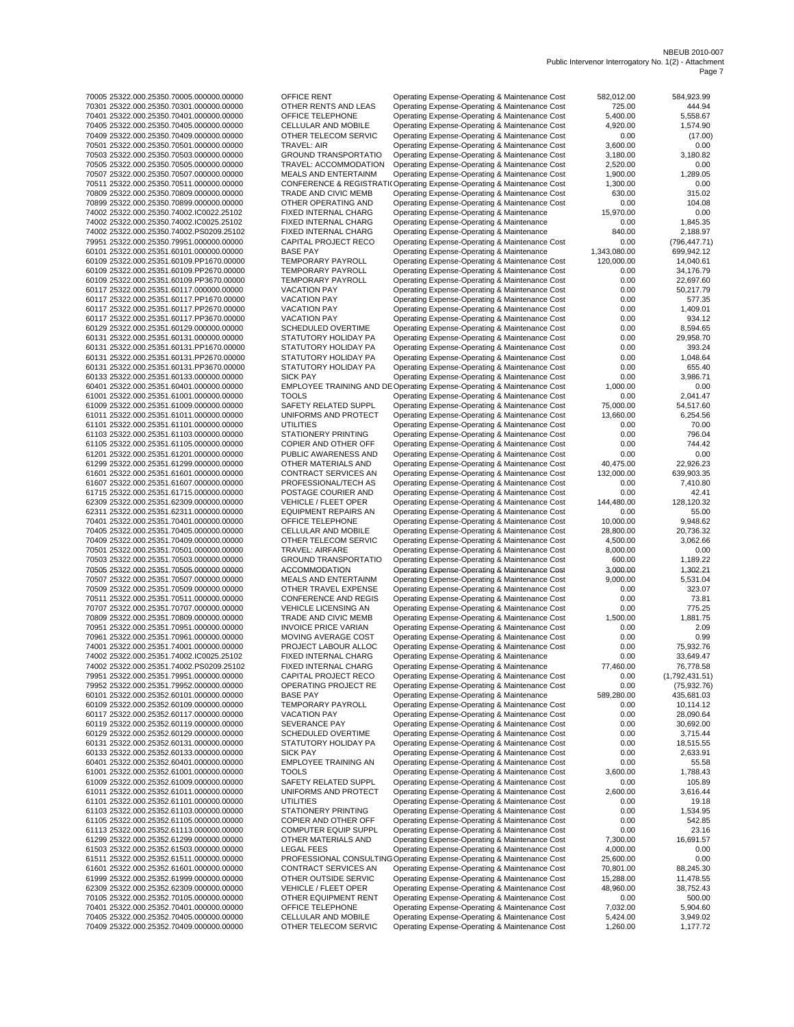| 70005 25322.000.25350.70005.000000.00000 | OFFICE RENT                 | Operating Expense-Operating & Maintenance Cost                          | 582,012.00   | 584.923.99     |
|------------------------------------------|-----------------------------|-------------------------------------------------------------------------|--------------|----------------|
| 70301 25322.000.25350.70301.000000.00000 | OTHER RENTS AND LEAS        | Operating Expense-Operating & Maintenance Cost                          | 725.00       | 444.94         |
|                                          |                             |                                                                         |              |                |
| 70401 25322.000.25350.70401.000000.00000 | OFFICE TELEPHONE            | Operating Expense-Operating & Maintenance Cost                          | 5,400.00     | 5,558.67       |
| 70405 25322.000.25350.70405.000000.00000 | CELLULAR AND MOBILE         | Operating Expense-Operating & Maintenance Cost                          | 4,920.00     | 1,574.90       |
| 70409 25322.000.25350.70409.000000.00000 | OTHER TELECOM SERVIC        | Operating Expense-Operating & Maintenance Cost                          | 0.00         | (17.00)        |
| 70501 25322.000.25350.70501.000000.00000 | TRAVEL: AIR                 | Operating Expense-Operating & Maintenance Cost                          | 3,600.00     | 0.00           |
|                                          |                             |                                                                         |              |                |
| 70503 25322.000.25350.70503.000000.00000 | <b>GROUND TRANSPORTATIO</b> | Operating Expense-Operating & Maintenance Cost                          | 3,180.00     | 3,180.82       |
| 70505 25322.000.25350.70505.000000.00000 | TRAVEL: ACCOMMODATION       | Operating Expense-Operating & Maintenance Cost                          | 2,520.00     | 0.00           |
| 70507 25322.000.25350.70507.000000.00000 | <b>MEALS AND ENTERTAINM</b> | Operating Expense-Operating & Maintenance Cost                          | 1,900.00     | 1,289.05       |
|                                          |                             |                                                                         |              |                |
| 70511 25322.000.25350.70511.000000.00000 |                             | CONFERENCE & REGISTRATI(Operating Expense-Operating & Maintenance Cost  | 1,300.00     | 0.00           |
| 70809 25322.000.25350.70809.000000.00000 | TRADE AND CIVIC MEMB        | Operating Expense-Operating & Maintenance Cost                          | 630.00       | 315.02         |
| 70899 25322.000.25350.70899.000000.00000 | OTHER OPERATING AND         | Operating Expense-Operating & Maintenance Cost                          | 0.00         | 104.08         |
| 74002 25322.000.25350.74002.IC0022.25102 | FIXED INTERNAL CHARG        | Operating Expense-Operating & Maintenance                               | 15,970.00    | 0.00           |
|                                          |                             |                                                                         |              |                |
| 74002 25322.000.25350.74002.IC0025.25102 | FIXED INTERNAL CHARG        | Operating Expense-Operating & Maintenance                               | 0.00         | 1,845.35       |
| 74002 25322.000.25350.74002.PS0209.25102 | FIXED INTERNAL CHARG        | Operating Expense-Operating & Maintenance                               | 840.00       | 2,188.97       |
| 79951 25322.000.25350.79951.000000.00000 | CAPITAL PROJECT RECO        | Operating Expense-Operating & Maintenance Cost                          | 0.00         | (796, 447.71)  |
|                                          |                             |                                                                         |              |                |
| 60101 25322.000.25351.60101.000000.00000 | <b>BASE PAY</b>             | Operating Expense-Operating & Maintenance                               | 1,343,080.00 | 699,942.12     |
| 60109 25322.000.25351.60109.PP1670.00000 | TEMPORARY PAYROLL           | Operating Expense-Operating & Maintenance Cost                          | 120,000.00   | 14,040.61      |
| 60109 25322.000.25351.60109.PP2670.00000 | <b>TEMPORARY PAYROLL</b>    | Operating Expense-Operating & Maintenance Cost                          | 0.00         | 34,176.79      |
| 60109 25322.000.25351.60109.PP3670.00000 | <b>TEMPORARY PAYROLL</b>    | Operating Expense-Operating & Maintenance Cost                          | 0.00         | 22,697.60      |
|                                          |                             |                                                                         |              |                |
| 60117 25322.000.25351.60117.000000.00000 | <b>VACATION PAY</b>         | Operating Expense-Operating & Maintenance Cost                          | 0.00         | 50,217.79      |
| 60117 25322.000.25351.60117.PP1670.00000 | <b>VACATION PAY</b>         | Operating Expense-Operating & Maintenance Cost                          | 0.00         | 577.35         |
| 60117 25322.000.25351.60117.PP2670.00000 | <b>VACATION PAY</b>         | Operating Expense-Operating & Maintenance Cost                          | 0.00         | 1,409.01       |
|                                          |                             |                                                                         |              |                |
| 60117 25322.000.25351.60117.PP3670.00000 | <b>VACATION PAY</b>         | Operating Expense-Operating & Maintenance Cost                          | 0.00         | 934.12         |
| 60129 25322.000.25351.60129.000000.00000 | SCHEDULED OVERTIME          | Operating Expense-Operating & Maintenance Cost                          | 0.00         | 8,594.65       |
| 60131 25322.000.25351.60131.000000.00000 | STATUTORY HOLIDAY PA        | Operating Expense-Operating & Maintenance Cost                          | 0.00         | 29,958.70      |
|                                          |                             | Operating Expense-Operating & Maintenance Cost                          |              | 393.24         |
| 60131 25322.000.25351.60131.PP1670.00000 | STATUTORY HOLIDAY PA        |                                                                         | 0.00         |                |
| 60131 25322.000.25351.60131.PP2670.00000 | STATUTORY HOLIDAY PA        | Operating Expense-Operating & Maintenance Cost                          | 0.00         | 1,048.64       |
| 60131 25322.000.25351.60131.PP3670.00000 | STATUTORY HOLIDAY PA        | Operating Expense-Operating & Maintenance Cost                          | 0.00         | 655.40         |
| 60133 25322.000.25351.60133.000000.00000 | <b>SICK PAY</b>             | Operating Expense-Operating & Maintenance Cost                          | 0.00         | 3,986.71       |
|                                          |                             |                                                                         |              |                |
| 60401 25322.000.25351.60401.000000.00000 |                             | EMPLOYEE TRAINING AND DE Operating Expense-Operating & Maintenance Cost | 1,000.00     | 0.00           |
| 61001 25322.000.25351.61001.000000.00000 | <b>TOOLS</b>                | Operating Expense-Operating & Maintenance Cost                          | 0.00         | 2,041.47       |
| 61009 25322.000.25351.61009.000000.00000 | SAFETY RELATED SUPPL        | Operating Expense-Operating & Maintenance Cost                          | 75,000.00    | 54,517.60      |
|                                          |                             | Operating Expense-Operating & Maintenance Cost                          | 13.660.00    | 6,254.56       |
| 61011 25322.000.25351.61011.000000.00000 | UNIFORMS AND PROTECT        |                                                                         |              |                |
| 61101 25322.000.25351.61101.000000.00000 | UTILITIES                   | Operating Expense-Operating & Maintenance Cost                          | 0.00         | 70.00          |
| 61103 25322.000.25351.61103.000000.00000 | STATIONERY PRINTING         | Operating Expense-Operating & Maintenance Cost                          | 0.00         | 796.04         |
| 61105 25322.000.25351.61105.000000.00000 | COPIER AND OTHER OFF        | Operating Expense-Operating & Maintenance Cost                          | 0.00         | 744.42         |
|                                          |                             |                                                                         |              |                |
| 61201 25322.000.25351.61201.000000.00000 | PUBLIC AWARENESS AND        | Operating Expense-Operating & Maintenance Cost                          | 0.00         | 0.00           |
| 61299 25322.000.25351.61299.000000.00000 | OTHER MATERIALS AND         | Operating Expense-Operating & Maintenance Cost                          | 40,475.00    | 22,926.23      |
| 61601 25322.000.25351.61601.000000.00000 | CONTRACT SERVICES AN        | Operating Expense-Operating & Maintenance Cost                          | 132,000.00   | 639,903.35     |
|                                          |                             |                                                                         |              |                |
| 61607 25322.000.25351.61607.000000.00000 | PROFESSIONAL/TECH AS        | Operating Expense-Operating & Maintenance Cost                          | 0.00         | 7,410.80       |
| 61715 25322.000.25351.61715.000000.00000 | POSTAGE COURIER AND         | Operating Expense-Operating & Maintenance Cost                          | 0.00         | 42.41          |
| 62309 25322.000.25351.62309.000000.00000 | <b>VEHICLE / FLEET OPER</b> | Operating Expense-Operating & Maintenance Cost                          | 144,480.00   | 128,120.32     |
|                                          |                             |                                                                         | 0.00         | 55.00          |
| 62311 25322.000.25351.62311.000000.00000 | <b>EQUIPMENT REPAIRS AN</b> | Operating Expense-Operating & Maintenance Cost                          |              |                |
| 70401 25322.000.25351.70401.000000.00000 | OFFICE TELEPHONE            | Operating Expense-Operating & Maintenance Cost                          | 10,000.00    | 9,948.62       |
| 70405 25322.000.25351.70405.000000.00000 | CELLULAR AND MOBILE         | Operating Expense-Operating & Maintenance Cost                          | 28,800.00    | 20,736.32      |
| 70409 25322.000.25351.70409.000000.00000 | OTHER TELECOM SERVIC        | Operating Expense-Operating & Maintenance Cost                          | 4,500.00     | 3,062.66       |
|                                          |                             |                                                                         |              |                |
| 70501 25322.000.25351.70501.000000.00000 | TRAVEL: AIRFARE             | Operating Expense-Operating & Maintenance Cost                          | 8,000.00     | 0.00           |
| 70503 25322.000.25351.70503.000000.00000 | <b>GROUND TRANSPORTATIO</b> | Operating Expense-Operating & Maintenance Cost                          | 600.00       | 1,189.22       |
| 70505 25322.000.25351.70505.000000.00000 | <b>ACCOMMODATION</b>        | Operating Expense-Operating & Maintenance Cost                          | 3,000.00     | 1,302.21       |
|                                          |                             |                                                                         |              |                |
| 70507 25322.000.25351.70507.000000.00000 | MEALS AND ENTERTAINM        | Operating Expense-Operating & Maintenance Cost                          | 9,000.00     | 5,531.04       |
| 70509 25322.000.25351.70509.000000.00000 | OTHER TRAVEL EXPENSE        | Operating Expense-Operating & Maintenance Cost                          | 0.00         | 323.07         |
| 70511 25322.000.25351.70511.000000.00000 | CONFERENCE AND REGIS        | Operating Expense-Operating & Maintenance Cost                          | 0.00         | 73.81          |
| 70707 25322.000.25351.70707.000000.00000 | <b>VEHICLE LICENSING AN</b> | Operating Expense-Operating & Maintenance Cost                          | 0.00         | 775.25         |
|                                          |                             |                                                                         |              |                |
| 70809 25322.000.25351.70809.000000.00000 | TRADE AND CIVIC MEMB        | Operating Expense-Operating & Maintenance Cost                          | 1,500.00     | 1,881.75       |
| 70951 25322.000.25351.70951.000000.00000 | <b>INVOICE PRICE VARIAN</b> | Operating Expense-Operating & Maintenance Cost                          | 0.00         | 2.09           |
| 70961 25322.000.25351.70961.000000.00000 | MOVING AVERAGE COST         | Operating Expense-Operating & Maintenance Cost                          | 0.00         | 0.99           |
|                                          |                             |                                                                         |              |                |
| 74001 25322.000.25351.74001.000000.00000 | PROJECT LABOUR ALLOC        | Operating Expense-Operating & Maintenance Cost                          | 0.00         | 75.932.76      |
| 74002 25322.000.25351.74002.IC0025.25102 | FIXED INTERNAL CHARG        | Operating Expense-Operating & Maintenance                               | 0.00         | 33,649.47      |
| 74002 25322.000.25351.74002.PS0209.25102 | FIXED INTERNAL CHARG        | Operating Expense-Operating & Maintenance                               | 77,460.00    | 76,778.58      |
| 79951 25322.000.25351.79951.000000.00000 | CAPITAL PROJECT RECO        |                                                                         | 0.00         |                |
|                                          |                             | Operating Expense-Operating & Maintenance Cost                          |              | (1,792,431.51) |
| 79952 25322.000.25351.79952.000000.00000 | OPERATING PROJECT RE        | Operating Expense-Operating & Maintenance Cost                          | 0.00         | (75, 932.76)   |
| 60101 25322.000.25352.60101.000000.00000 | <b>BASE PAY</b>             | Operating Expense-Operating & Maintenance                               | 589,280.00   | 435,681.03     |
| 60109 25322.000.25352.60109.000000.00000 | TEMPORARY PAYROLL           | Operating Expense-Operating & Maintenance Cost                          | 0.00         | 10,114.12      |
| 60117 25322.000.25352.60117.000000.00000 | <b>VACATION PAY</b>         | Operating Expense-Operating & Maintenance Cost                          | 0.00         | 28,090.64      |
|                                          |                             |                                                                         |              |                |
| 60119 25322.000.25352.60119.000000.00000 | <b>SEVERANCE PAY</b>        | Operating Expense-Operating & Maintenance Cost                          | 0.00         | 30,692.00      |
| 60129 25322.000.25352.60129.000000.00000 | <b>SCHEDULED OVERTIME</b>   | Operating Expense-Operating & Maintenance Cost                          | 0.00         | 3,715.44       |
| 60131 25322.000.25352.60131.000000.00000 | STATUTORY HOLIDAY PA        | Operating Expense-Operating & Maintenance Cost                          | 0.00         | 18,515.55      |
|                                          |                             |                                                                         |              |                |
| 60133 25322.000.25352.60133.000000.00000 | <b>SICK PAY</b>             | Operating Expense-Operating & Maintenance Cost                          | 0.00         | 2,633.91       |
| 60401 25322.000.25352.60401.000000.00000 | EMPLOYEE TRAINING AN        | Operating Expense-Operating & Maintenance Cost                          | 0.00         | 55.58          |
| 61001 25322.000.25352.61001.000000.00000 | <b>TOOLS</b>                | Operating Expense-Operating & Maintenance Cost                          | 3,600.00     | 1,788.43       |
|                                          |                             |                                                                         |              |                |
| 61009 25322.000.25352.61009.000000.00000 | SAFETY RELATED SUPPL        | Operating Expense-Operating & Maintenance Cost                          | 0.00         | 105.89         |
| 61011 25322.000.25352.61011.000000.00000 | UNIFORMS AND PROTECT        | Operating Expense-Operating & Maintenance Cost                          | 2,600.00     | 3,616.44       |
| 61101 25322.000.25352.61101.000000.00000 | UTILITIES                   | Operating Expense-Operating & Maintenance Cost                          | 0.00         | 19.18          |
| 61103 25322.000.25352.61103.000000.00000 | STATIONERY PRINTING         | Operating Expense-Operating & Maintenance Cost                          | 0.00         | 1,534.95       |
|                                          |                             |                                                                         |              |                |
| 61105 25322.000.25352.61105.000000.00000 | COPIER AND OTHER OFF        | Operating Expense-Operating & Maintenance Cost                          | 0.00         | 542.85         |
| 61113 25322.000.25352.61113.000000.00000 | COMPUTER EQUIP SUPPL        | Operating Expense-Operating & Maintenance Cost                          | 0.00         | 23.16          |
| 61299 25322.000.25352.61299.000000.00000 | OTHER MATERIALS AND         | Operating Expense-Operating & Maintenance Cost                          | 7,300.00     | 16,691.57      |
|                                          |                             |                                                                         |              |                |
| 61503 25322.000.25352.61503.000000.00000 | <b>LEGAL FEES</b>           | Operating Expense-Operating & Maintenance Cost                          | 4,000.00     | 0.00           |
| 61511 25322.000.25352.61511.000000.00000 |                             | PROFESSIONAL CONSULTING Operating Expense-Operating & Maintenance Cost  | 25,600.00    | 0.00           |
| 61601 25322.000.25352.61601.000000.00000 | CONTRACT SERVICES AN        | Operating Expense-Operating & Maintenance Cost                          | 70,801.00    | 88,245.30      |
| 61999 25322.000.25352.61999.000000.00000 | OTHER OUTSIDE SERVIC        | Operating Expense-Operating & Maintenance Cost                          | 15,288.00    | 11,478.55      |
|                                          |                             |                                                                         |              |                |
| 62309 25322.000.25352.62309.000000.00000 | VEHICLE / FLEET OPER        | Operating Expense-Operating & Maintenance Cost                          | 48,960.00    | 38,752.43      |
| 70105 25322.000.25352.70105.000000.00000 | OTHER EQUIPMENT RENT        | Operating Expense-Operating & Maintenance Cost                          | 0.00         | 500.00         |
| 70401 25322.000.25352.70401.000000.00000 | OFFICE TELEPHONE            | Operating Expense-Operating & Maintenance Cost                          | 7,032.00     | 5,904.60       |
|                                          |                             |                                                                         |              |                |
| 70405 25322.000.25352.70405.000000.00000 | CELLULAR AND MOBILE         | Operating Expense-Operating & Maintenance Cost                          | 5,424.00     | 3,949.02       |
| 70409 25322.000.25352.70409.000000.00000 | OTHER TELECOM SERVIC        | Operating Expense-Operating & Maintenance Cost                          | 1,260.00     | 1,177.72       |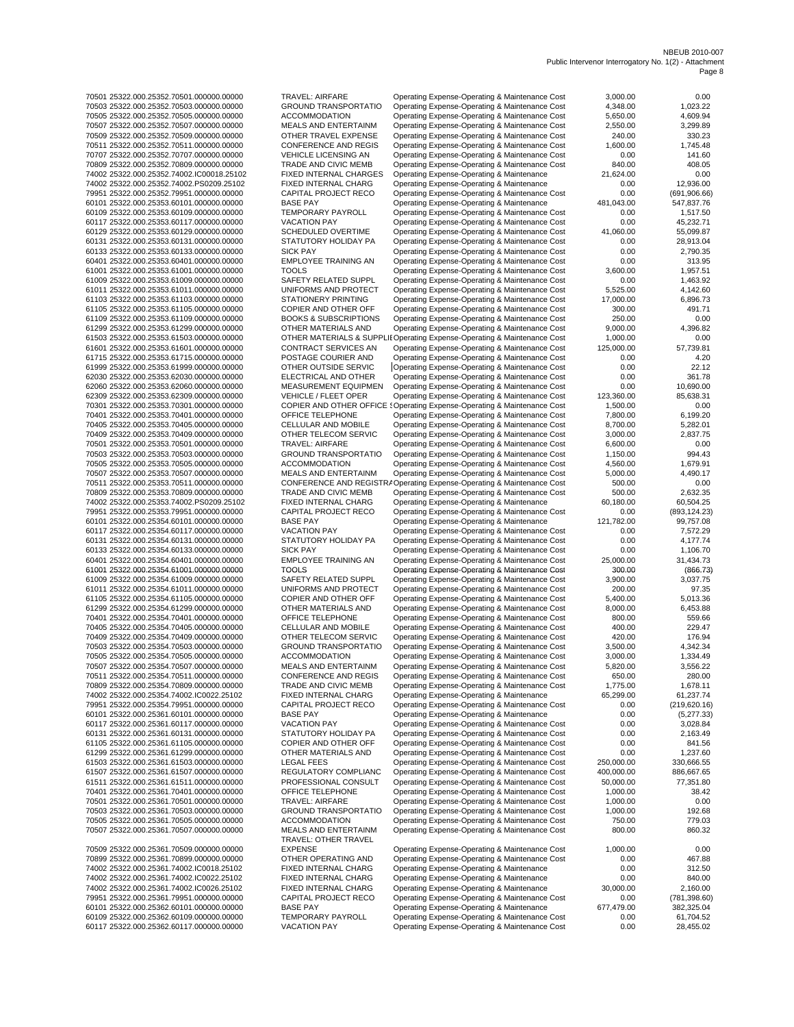| 70501 25322.000.25352.70501.000000.00000  | <b>TRAVEL: AIRFARE</b>           | Operating Expense-Operating & Maintenance Cost                                                   | 3,000.00   | 0.00          |
|-------------------------------------------|----------------------------------|--------------------------------------------------------------------------------------------------|------------|---------------|
| 70503 25322.000.25352.70503.000000.00000  | <b>GROUND TRANSPORTATIO</b>      | Operating Expense-Operating & Maintenance Cost                                                   | 4,348.00   | 1,023.22      |
| 70505 25322.000.25352.70505.000000.00000  | <b>ACCOMMODATION</b>             | Operating Expense-Operating & Maintenance Cost                                                   | 5,650.00   | 4,609.94      |
| 70507 25322.000.25352.70507.000000.00000  | MEALS AND ENTERTAINM             | Operating Expense-Operating & Maintenance Cost                                                   | 2,550.00   | 3,299.89      |
| 70509 25322.000.25352.70509.000000.00000  | OTHER TRAVEL EXPENSE             | Operating Expense-Operating & Maintenance Cost                                                   | 240.00     | 330.23        |
| 70511 25322.000.25352.70511.000000.00000  | CONFERENCE AND REGIS             | Operating Expense-Operating & Maintenance Cost                                                   | 1,600.00   | 1,745.48      |
| 70707 25322.000.25352.70707.000000.00000  | VEHICLE LICENSING AN             | Operating Expense-Operating & Maintenance Cost                                                   | 0.00       | 141.60        |
| 70809 25322.000.25352.70809.000000.00000  | TRADE AND CIVIC MEMB             | Operating Expense-Operating & Maintenance Cost                                                   | 840.00     | 408.05        |
| 74002 25322.000.25352.74002.IC00018.25102 | FIXED INTERNAL CHARGES           | Operating Expense-Operating & Maintenance                                                        | 21,624.00  | 0.00          |
| 74002 25322.000.25352.74002.PS0209.25102  | FIXED INTERNAL CHARG             | Operating Expense-Operating & Maintenance                                                        | 0.00       | 12,936.00     |
|                                           |                                  |                                                                                                  |            |               |
| 79951 25322.000.25352.79951.000000.00000  | CAPITAL PROJECT RECO             | Operating Expense-Operating & Maintenance Cost                                                   | 0.00       | (691, 906.66) |
| 60101 25322.000.25353.60101.000000.00000  | <b>BASE PAY</b>                  | Operating Expense-Operating & Maintenance                                                        | 481,043.00 | 547,837.76    |
| 60109 25322.000.25353.60109.000000.00000  | TEMPORARY PAYROLL                | Operating Expense-Operating & Maintenance Cost                                                   | 0.00       | 1,517.50      |
| 60117 25322.000.25353.60117.000000.00000  | <b>VACATION PAY</b>              | Operating Expense-Operating & Maintenance Cost                                                   | 0.00       | 45,232.71     |
| 60129 25322.000.25353.60129.000000.00000  | SCHEDULED OVERTIME               | Operating Expense-Operating & Maintenance Cost                                                   | 41,060.00  | 55,099.87     |
| 60131 25322.000.25353.60131.000000.00000  | STATUTORY HOLIDAY PA             | Operating Expense-Operating & Maintenance Cost                                                   | 0.00       | 28,913.04     |
| 60133 25322.000.25353.60133.000000.00000  | <b>SICK PAY</b>                  | Operating Expense-Operating & Maintenance Cost                                                   | 0.00       | 2,790.35      |
| 60401 25322.000.25353.60401.000000.00000  | <b>EMPLOYEE TRAINING AN</b>      | Operating Expense-Operating & Maintenance Cost                                                   | 0.00       | 313.95        |
| 61001 25322.000.25353.61001.000000.00000  | <b>TOOLS</b>                     |                                                                                                  |            |               |
|                                           |                                  | Operating Expense-Operating & Maintenance Cost                                                   | 3,600.00   | 1,957.51      |
| 61009 25322.000.25353.61009.000000.00000  | SAFETY RELATED SUPPL             | Operating Expense-Operating & Maintenance Cost                                                   | 0.00       | 1,463.92      |
| 61011 25322.000.25353.61011.000000.00000  | UNIFORMS AND PROTECT             | Operating Expense-Operating & Maintenance Cost                                                   | 5,525.00   | 4,142.60      |
| 61103 25322.000.25353.61103.000000.00000  | STATIONERY PRINTING              | Operating Expense-Operating & Maintenance Cost                                                   | 17,000.00  | 6,896.73      |
| 61105 25322.000.25353.61105.000000.00000  | COPIER AND OTHER OFF             | Operating Expense-Operating & Maintenance Cost                                                   | 300.00     | 491.71        |
| 61109 25322.000.25353.61109.000000.00000  | <b>BOOKS &amp; SUBSCRIPTIONS</b> | Operating Expense-Operating & Maintenance Cost                                                   | 250.00     | 0.00          |
| 61299 25322.000.25353.61299.000000.00000  | OTHER MATERIALS AND              | Operating Expense-Operating & Maintenance Cost                                                   | 9,000.00   | 4,396.82      |
| 61503 25322.000.25353.61503.000000.00000  |                                  | OTHER MATERIALS & SUPPLII Operating Expense-Operating & Maintenance Cost                         | 1,000.00   | 0.00          |
| 61601 25322.000.25353.61601.000000.00000  | CONTRACT SERVICES AN             | Operating Expense-Operating & Maintenance Cost                                                   | 125,000.00 | 57.739.81     |
| 61715 25322.000.25353.61715.000000.00000  | POSTAGE COURIER AND              |                                                                                                  |            |               |
|                                           |                                  | Operating Expense-Operating & Maintenance Cost                                                   | 0.00       | 4.20          |
| 61999 25322.000.25353.61999.000000.00000  | OTHER OUTSIDE SERVIC             | Operating Expense-Operating & Maintenance Cost                                                   | 0.00       | 22.12         |
| 62030 25322.000.25353.62030.000000.00000  | ELECTRICAL AND OTHER             | Operating Expense-Operating & Maintenance Cost                                                   | 0.00       | 361.78        |
| 62060 25322.000.25353.62060.000000.00000  | MEASUREMENT EQUIPMEN             | Operating Expense-Operating & Maintenance Cost                                                   | 0.00       | 10,690.00     |
| 62309 25322.000.25353.62309.000000.00000  | <b>VEHICLE / FLEET OPER</b>      | Operating Expense-Operating & Maintenance Cost                                                   | 123,360.00 | 85,638.31     |
| 70301 25322.000.25353.70301.000000.00000  |                                  | COPIER AND OTHER OFFICE : Operating Expense-Operating & Maintenance Cost                         | 1,500.00   | 0.00          |
| 70401 25322.000.25353.70401.000000.00000  | OFFICE TELEPHONE                 | Operating Expense-Operating & Maintenance Cost                                                   | 7,800.00   | 6,199.20      |
| 70405 25322.000.25353.70405.000000.00000  | CELLULAR AND MOBILE              |                                                                                                  |            |               |
|                                           |                                  | Operating Expense-Operating & Maintenance Cost                                                   | 8,700.00   | 5,282.01      |
| 70409 25322.000.25353.70409.000000.00000  | OTHER TELECOM SERVIC             | Operating Expense-Operating & Maintenance Cost                                                   | 3,000.00   | 2,837.75      |
| 70501 25322.000.25353.70501.000000.00000  | TRAVEL: AIRFARE                  | Operating Expense-Operating & Maintenance Cost                                                   | 6,600.00   | 0.00          |
| 70503 25322.000.25353.70503.000000.00000  | <b>GROUND TRANSPORTATIO</b>      | Operating Expense-Operating & Maintenance Cost                                                   | 1,150.00   | 994.43        |
| 70505 25322.000.25353.70505.000000.00000  | <b>ACCOMMODATION</b>             | Operating Expense-Operating & Maintenance Cost                                                   | 4,560.00   | 1,679.91      |
| 70507 25322.000.25353.70507.000000.00000  | MEALS AND ENTERTAINM             | Operating Expense-Operating & Maintenance Cost                                                   | 5,000.00   | 4,490.17      |
| 70511 25322.000.25353.70511.000000.00000  |                                  | CONFERENCE AND REGISTR/ Operating Expense-Operating & Maintenance Cost                           | 500.00     | 0.00          |
| 70809 25322.000.25353.70809.000000.00000  | TRADE AND CIVIC MEMB             | Operating Expense-Operating & Maintenance Cost                                                   | 500.00     | 2,632.35      |
| 74002 25322.000.25353.74002.PS0209.25102  | FIXED INTERNAL CHARG             | Operating Expense-Operating & Maintenance                                                        | 60,180.00  | 60,504.25     |
|                                           |                                  |                                                                                                  |            |               |
| 79951 25322.000.25353.79951.000000.00000  | CAPITAL PROJECT RECO             | Operating Expense-Operating & Maintenance Cost                                                   | 0.00       | (893, 124.23) |
| 60101 25322.000.25354.60101.000000.00000  | <b>BASE PAY</b>                  | Operating Expense-Operating & Maintenance                                                        | 121,782.00 | 99,757.08     |
| 60117 25322.000.25354.60117.000000.00000  | <b>VACATION PAY</b>              | Operating Expense-Operating & Maintenance Cost                                                   | 0.00       | 7,572.29      |
| 60131 25322.000.25354.60131.000000.00000  | STATUTORY HOLIDAY PA             | Operating Expense-Operating & Maintenance Cost                                                   | 0.00       | 4,177.74      |
| 60133 25322.000.25354.60133.000000.00000  | <b>SICK PAY</b>                  | Operating Expense-Operating & Maintenance Cost                                                   | 0.00       | 1,106.70      |
| 60401 25322.000.25354.60401.000000.00000  | <b>EMPLOYEE TRAINING AN</b>      | Operating Expense-Operating & Maintenance Cost                                                   | 25,000.00  | 31,434.73     |
| 61001 25322.000.25354.61001.000000.00000  | <b>TOOLS</b>                     | Operating Expense-Operating & Maintenance Cost                                                   | 300.00     | (866.73)      |
| 61009 25322.000.25354.61009.000000.00000  | SAFETY RELATED SUPPL             | Operating Expense-Operating & Maintenance Cost                                                   | 3,900.00   | 3,037.75      |
|                                           |                                  | Operating Expense-Operating & Maintenance Cost                                                   | 200.00     |               |
| 61011 25322.000.25354.61011.000000.00000  | UNIFORMS AND PROTECT             |                                                                                                  |            | 97.35         |
| 61105 25322.000.25354.61105.000000.00000  | COPIER AND OTHER OFF             | Operating Expense-Operating & Maintenance Cost                                                   | 5,400.00   | 5,013.36      |
| 61299 25322.000.25354.61299.000000.00000  | OTHER MATERIALS AND              | Operating Expense-Operating & Maintenance Cost                                                   | 8,000.00   | 6,453.88      |
| 70401 25322.000.25354.70401.000000.00000  | OFFICE TELEPHONE                 | Operating Expense-Operating & Maintenance Cost                                                   | 800.00     | 559.66        |
| 70405 25322.000.25354.70405.000000.00000  | CELLULAR AND MOBILE              | Operating Expense-Operating & Maintenance Cost                                                   | 400.00     | 229.47        |
| 70409 25322.000.25354.70409.000000.00000  | OTHER TELECOM SERVIC             | Operating Expense-Operating & Maintenance Cost                                                   | 420.00     | 176.94        |
| 70503 25322.000.25354.70503.000000.00000  | <b>GROUND TRANSPORTATIO</b>      | Operating Expense-Operating & Maintenance Cost                                                   | 3,500.00   | 4,342.34      |
| 70505 25322.000.25354.70505.000000.00000  | <b>ACCOMMODATION</b>             | Operating Expense-Operating & Maintenance Cost                                                   | 3,000.00   | 1,334.49      |
| 70507 25322.000.25354.70507.000000.00000  | MEALS AND ENTERTAINM             | Operating Expense-Operating & Maintenance Cost                                                   | 5,820.00   | 3,556.22      |
|                                           |                                  |                                                                                                  |            |               |
| 70511 25322.000.25354.70511.000000.00000  | CONFERENCE AND REGIS             | Operating Expense-Operating & Maintenance Cost                                                   | 650.00     | 280.00        |
| 70809 25322.000.25354.70809.000000.00000  | TRADE AND CIVIC MEMB             | Operating Expense-Operating & Maintenance Cost                                                   | 1,775.00   | 1,678.11      |
| 74002 25322.000.25354.74002.IC0022.25102  | FIXED INTERNAL CHARG             | Operating Expense-Operating & Maintenance                                                        | 65,299.00  | 61,237.74     |
| 79951 25322.000.25354.79951.000000.00000  | CAPITAL PROJECT RECO             | Operating Expense-Operating & Maintenance Cost                                                   | 0.00       | (219, 620.16) |
| 60101 25322.000.25361.60101.000000.00000  | <b>BASE PAY</b>                  | Operating Expense-Operating & Maintenance                                                        | 0.00       | (5,277.33)    |
| 60117 25322.000.25361.60117.000000.00000  | <b>VACATION PAY</b>              | Operating Expense-Operating & Maintenance Cost                                                   | 0.00       | 3,028.84      |
| 60131 25322.000.25361.60131.000000.00000  | STATUTORY HOLIDAY PA             | Operating Expense-Operating & Maintenance Cost                                                   | 0.00       | 2,163.49      |
| 61105 25322.000.25361.61105.000000.00000  | COPIER AND OTHER OFF             | Operating Expense-Operating & Maintenance Cost                                                   | 0.00       | 841.56        |
| 61299 25322.000.25361.61299.000000.00000  | OTHER MATERIALS AND              |                                                                                                  | 0.00       | 1,237.60      |
| 61503 25322.000.25361.61503.000000.00000  | <b>LEGAL FEES</b>                | Operating Expense-Operating & Maintenance Cost<br>Operating Expense-Operating & Maintenance Cost | 250,000.00 | 330,666.55    |
|                                           |                                  |                                                                                                  |            |               |
| 61507 25322.000.25361.61507.000000.00000  | REGULATORY COMPLIANC             | Operating Expense-Operating & Maintenance Cost                                                   | 400,000.00 | 886,667.65    |
| 61511 25322.000.25361.61511.000000.00000  | PROFESSIONAL CONSULT             | Operating Expense-Operating & Maintenance Cost                                                   | 50,000.00  | 77,351.80     |
| 70401 25322.000.25361.70401.000000.00000  | OFFICE TELEPHONE                 | Operating Expense-Operating & Maintenance Cost                                                   | 1,000.00   | 38.42         |
| 70501 25322.000.25361.70501.000000.00000  | TRAVEL: AIRFARE                  | Operating Expense-Operating & Maintenance Cost                                                   | 1,000.00   | 0.00          |
| 70503 25322.000.25361.70503.000000.00000  | <b>GROUND TRANSPORTATIO</b>      | Operating Expense-Operating & Maintenance Cost                                                   | 1,000.00   | 192.68        |
| 70505 25322.000.25361.70505.000000.00000  | <b>ACCOMMODATION</b>             | Operating Expense-Operating & Maintenance Cost                                                   | 750.00     | 779.03        |
| 70507 25322.000.25361.70507.000000.00000  | MEALS AND ENTERTAINM             | Operating Expense-Operating & Maintenance Cost                                                   | 800.00     | 860.32        |
|                                           | TRAVEL: OTHER TRAVEL             |                                                                                                  |            |               |
|                                           |                                  |                                                                                                  |            |               |
| 70509 25322.000.25361.70509.000000.00000  | <b>EXPENSE</b>                   | Operating Expense-Operating & Maintenance Cost                                                   | 1,000.00   | 0.00          |
| 70899 25322.000.25361.70899.000000.00000  | OTHER OPERATING AND              | Operating Expense-Operating & Maintenance Cost                                                   | 0.00       | 467.88        |
| 74002 25322.000.25361.74002.IC0018.25102  | FIXED INTERNAL CHARG             | Operating Expense-Operating & Maintenance                                                        | 0.00       | 312.50        |
| 74002 25322.000.25361.74002.IC0022.25102  | FIXED INTERNAL CHARG             | Operating Expense-Operating & Maintenance                                                        | 0.00       | 840.00        |
| 74002 25322.000.25361.74002.IC0026.25102  | FIXED INTERNAL CHARG             | Operating Expense-Operating & Maintenance                                                        | 30,000.00  | 2,160.00      |
| 79951 25322.000.25361.79951.000000.00000  | CAPITAL PROJECT RECO             | Operating Expense-Operating & Maintenance Cost                                                   | 0.00       | (781, 398.60) |
| 60101 25322.000.25362.60101.000000.00000  | <b>BASE PAY</b>                  | Operating Expense-Operating & Maintenance                                                        | 677,479.00 | 382,325.04    |
| 60109 25322.000.25362.60109.000000.00000  | TEMPORARY PAYROLL                | Operating Expense-Operating & Maintenance Cost                                                   | 0.00       | 61,704.52     |
|                                           |                                  |                                                                                                  |            |               |
| 60117 25322.000.25362.60117.000000.00000  | <b>VACATION PAY</b>              | Operating Expense-Operating & Maintenance Cost                                                   | 0.00       | 28,455.02     |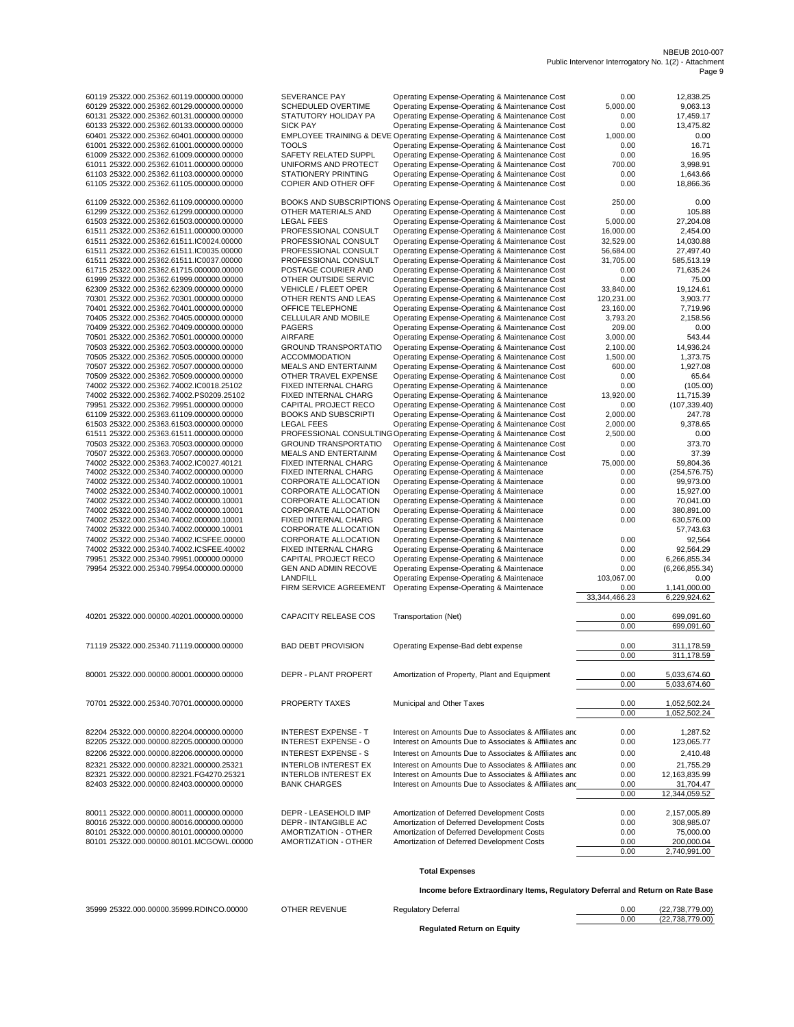|                                                       | NBEUB 2010-007 |
|-------------------------------------------------------|----------------|
| Public Intervenor Interrogatory No. 1(2) - Attachment |                |
|                                                       | Page 9         |

| 60119 25322.000.25362.60119.000000.00000                                             | <b>SEVERANCE PAY</b>                         | Operating Expense-Operating & Maintenance Cost                                                                            | 0.00                   | 12,838.25                    |
|--------------------------------------------------------------------------------------|----------------------------------------------|---------------------------------------------------------------------------------------------------------------------------|------------------------|------------------------------|
| 60129 25322.000.25362.60129.000000.00000                                             | SCHEDULED OVERTIME                           | Operating Expense-Operating & Maintenance Cost                                                                            | 5,000.00               | 9,063.13                     |
| 60131 25322.000.25362.60131.000000.00000                                             | STATUTORY HOLIDAY PA<br><b>SICK PAY</b>      | Operating Expense-Operating & Maintenance Cost                                                                            | 0.00                   | 17,459.17                    |
| 60133 25322.000.25362.60133.000000.00000<br>60401 25322.000.25362.60401.000000.00000 |                                              | Operating Expense-Operating & Maintenance Cost<br>EMPLOYEE TRAINING & DEVE Operating Expense-Operating & Maintenance Cost | 0.00<br>1,000.00       | 13,475.82<br>0.00            |
| 61001 25322.000.25362.61001.000000.00000                                             | <b>TOOLS</b>                                 | Operating Expense-Operating & Maintenance Cost                                                                            | 0.00                   | 16.71                        |
| 61009 25322.000.25362.61009.000000.00000                                             | SAFETY RELATED SUPPL                         | Operating Expense-Operating & Maintenance Cost                                                                            | 0.00                   | 16.95                        |
| 61011 25322.000.25362.61011.000000.00000                                             | UNIFORMS AND PROTECT                         | Operating Expense-Operating & Maintenance Cost                                                                            | 700.00                 | 3,998.91                     |
| 61103 25322.000.25362.61103.000000.00000                                             | <b>STATIONERY PRINTING</b>                   | Operating Expense-Operating & Maintenance Cost                                                                            | 0.00                   | 1,643.66                     |
| 61105 25322.000.25362.61105.000000.00000                                             | COPIER AND OTHER OFF                         | Operating Expense-Operating & Maintenance Cost                                                                            | 0.00                   | 18,866.36                    |
| 61109 25322.000.25362.61109.000000.00000                                             |                                              | BOOKS AND SUBSCRIPTIONS Operating Expense-Operating & Maintenance Cost                                                    | 250.00                 | 0.00                         |
| 61299 25322.000.25362.61299.000000.00000                                             | OTHER MATERIALS AND                          | Operating Expense-Operating & Maintenance Cost                                                                            | 0.00                   | 105.88                       |
| 61503 25322.000.25362.61503.000000.00000                                             | <b>LEGAL FEES</b>                            | Operating Expense-Operating & Maintenance Cost                                                                            | 5,000.00               | 27,204.08                    |
| 61511 25322.000.25362.61511.000000.00000                                             | PROFESSIONAL CONSULT                         | Operating Expense-Operating & Maintenance Cost                                                                            | 16,000.00              | 2,454.00                     |
| 61511 25322.000.25362.61511.IC0024.00000                                             | PROFESSIONAL CONSULT                         | Operating Expense-Operating & Maintenance Cost                                                                            | 32.529.00              | 14,030.88                    |
| 61511 25322.000.25362.61511.IC0035.00000<br>61511 25322.000.25362.61511.IC0037.00000 | PROFESSIONAL CONSULT<br>PROFESSIONAL CONSULT | Operating Expense-Operating & Maintenance Cost                                                                            | 56,684.00<br>31,705.00 | 27,497.40<br>585,513.19      |
| 61715 25322.000.25362.61715.000000.00000                                             | POSTAGE COURIER AND                          | Operating Expense-Operating & Maintenance Cost<br>Operating Expense-Operating & Maintenance Cost                          | 0.00                   | 71,635.24                    |
| 61999 25322.000.25362.61999.000000.00000                                             | OTHER OUTSIDE SERVIC                         | Operating Expense-Operating & Maintenance Cost                                                                            | 0.00                   | 75.00                        |
| 62309 25322.000.25362.62309.000000.00000                                             | VEHICLE / FLEET OPER                         | Operating Expense-Operating & Maintenance Cost                                                                            | 33,840.00              | 19,124.61                    |
| 70301 25322.000.25362.70301.000000.00000                                             | OTHER RENTS AND LEAS                         | Operating Expense-Operating & Maintenance Cost                                                                            | 120,231.00             | 3,903.77                     |
| 70401 25322.000.25362.70401.000000.00000                                             | OFFICE TELEPHONE                             | Operating Expense-Operating & Maintenance Cost                                                                            | 23,160.00              | 7,719.96                     |
| 70405 25322.000.25362.70405.000000.00000                                             | CELLULAR AND MOBILE                          | Operating Expense-Operating & Maintenance Cost                                                                            | 3,793.20               | 2,158.56                     |
| 70409 25322.000.25362.70409.000000.00000                                             | <b>PAGERS</b>                                | Operating Expense-Operating & Maintenance Cost                                                                            | 209.00                 | 0.00                         |
| 70501 25322.000.25362.70501.000000.00000                                             | AIRFARE                                      | Operating Expense-Operating & Maintenance Cost                                                                            | 3,000.00               | 543.44                       |
| 70503 25322.000.25362.70503.000000.00000                                             | <b>GROUND TRANSPORTATIO</b>                  | Operating Expense-Operating & Maintenance Cost                                                                            | 2.100.00               | 14,936.24                    |
| 70505 25322.000.25362.70505.000000.00000                                             | <b>ACCOMMODATION</b>                         | Operating Expense-Operating & Maintenance Cost                                                                            | 1,500.00               | 1,373.75                     |
| 70507 25322.000.25362.70507.000000.00000<br>70509 25322.000.25362.70509.000000.00000 | MEALS AND ENTERTAINM<br>OTHER TRAVEL EXPENSE | Operating Expense-Operating & Maintenance Cost<br>Operating Expense-Operating & Maintenance Cost                          | 600.00<br>0.00         | 1,927.08<br>65.64            |
| 74002 25322.000.25362.74002.IC0018.25102                                             | FIXED INTERNAL CHARG                         | Operating Expense-Operating & Maintenance                                                                                 | 0.00                   | (105.00)                     |
| 74002 25322.000.25362.74002.PS0209.25102                                             | FIXED INTERNAL CHARG                         | Operating Expense-Operating & Maintenance                                                                                 | 13.920.00              | 11,715.39                    |
| 79951 25322.000.25362.79951.000000.00000                                             | CAPITAL PROJECT RECO                         | Operating Expense-Operating & Maintenance Cost                                                                            | 0.00                   | (107, 339.40)                |
| 61109 25322.000.25363.61109.000000.00000                                             | <b>BOOKS AND SUBSCRIPTI</b>                  | Operating Expense-Operating & Maintenance Cost                                                                            | 2,000.00               | 247.78                       |
| 61503 25322.000.25363.61503.000000.00000                                             | <b>LEGAL FEES</b>                            | Operating Expense-Operating & Maintenance Cost                                                                            | 2,000.00               | 9,378.65                     |
| 61511 25322.000.25363.61511.000000.00000                                             |                                              | PROFESSIONAL CONSULTING Operating Expense-Operating & Maintenance Cost                                                    | 2,500.00               | 0.00                         |
| 70503 25322.000.25363.70503.000000.00000                                             | <b>GROUND TRANSPORTATIO</b>                  | Operating Expense-Operating & Maintenance Cost                                                                            | 0.00                   | 373.70                       |
| 70507 25322.000.25363.70507.000000.00000                                             | MEALS AND ENTERTAINM                         | Operating Expense-Operating & Maintenance Cost                                                                            | 0.00                   | 37.39                        |
| 74002 25322.000.25363.74002.IC0027.40121<br>74002 25322.000.25340.74002.000000.00000 | FIXED INTERNAL CHARG<br>FIXED INTERNAL CHARG | Operating Expense-Operating & Maintenance                                                                                 | 75,000.00<br>0.00      | 59,804.36                    |
| 74002 25322.000.25340.74002.000000.10001                                             | CORPORATE ALLOCATION                         | Operating Expense-Operating & Maintenace<br>Operating Expense-Operating & Maintenace                                      | 0.00                   | (254, 576.75)<br>99,973.00   |
| 74002 25322.000.25340.74002.000000.10001                                             | CORPORATE ALLOCATION                         | Operating Expense-Operating & Maintenace                                                                                  | 0.00                   | 15,927.00                    |
| 74002 25322.000.25340.74002.000000.10001                                             | CORPORATE ALLOCATION                         | Operating Expense-Operating & Maintenace                                                                                  | 0.00                   | 70,041.00                    |
| 74002 25322.000.25340.74002.000000.10001                                             | <b>CORPORATE ALLOCATION</b>                  | Operating Expense-Operating & Maintenace                                                                                  | 0.00                   | 380,891.00                   |
| 74002 25322.000.25340.74002.000000.10001                                             | FIXED INTERNAL CHARG                         | Operating Expense-Operating & Maintenace                                                                                  | 0.00                   | 630,576.00                   |
| 74002 25322.000.25340.74002.000000.10001                                             | CORPORATE ALLOCATION                         | Operating Expense-Operating & Maintenace                                                                                  |                        | 57,743.63                    |
| 74002 25322.000.25340.74002.ICSFEE.00000                                             | CORPORATE ALLOCATION                         | Operating Expense-Operating & Maintenace                                                                                  | 0.00                   | 92,564                       |
| 74002 25322.000.25340.74002.ICSFEE.40002                                             | FIXED INTERNAL CHARG                         | Operating Expense-Operating & Maintenace                                                                                  | 0.00                   | 92,564.29                    |
| 79951 25322.000.25340.79951.000000.00000                                             | CAPITAL PROJECT RECO                         | Operating Expense-Operating & Maintenace                                                                                  | 0.00                   | 6,266,855.34                 |
| 79954 25322.000.25340.79954.000000.00000                                             | <b>GEN AND ADMIN RECOVE</b><br>LANDFILL      | Operating Expense-Operating & Maintenace<br>Operating Expense-Operating & Maintenace                                      | 0.00<br>103,067.00     | (6, 266, 855.34)<br>0.00     |
|                                                                                      | FIRM SERVICE AGREEMENT                       | Operating Expense-Operating & Maintenace                                                                                  | 0.00                   | 1,141,000.00                 |
|                                                                                      |                                              |                                                                                                                           | 33,344,466.23          | 6,229,924.62                 |
| 40201 25322.000.00000.40201.000000.00000                                             | CAPACITY RELEASE COS                         | Transportation (Net)                                                                                                      | 0.00                   | 699,091.60                   |
|                                                                                      |                                              |                                                                                                                           | 0.00                   | 699,091.60                   |
| 71119 25322.000.25340.71119.000000.00000                                             | <b>BAD DEBT PROVISION</b>                    | Operating Expense-Bad debt expense                                                                                        | 0.00                   | 311,178.59                   |
|                                                                                      |                                              |                                                                                                                           | 0.00                   | 311,178.59                   |
| 80001 25322.000.00000.80001.000000.00000                                             | DEPR - PLANT PROPERT                         | Amortization of Property, Plant and Equipment                                                                             | 0.00                   | 5,033,674.60                 |
|                                                                                      |                                              |                                                                                                                           | 0.00                   | 5,033,674.60                 |
|                                                                                      |                                              |                                                                                                                           |                        |                              |
| 70701 25322.000.25340.70701.000000.00000                                             | PROPERTY TAXES                               | Municipal and Other Taxes                                                                                                 | 0.00<br>0.00           | 1,052,502.24<br>1,052,502.24 |
|                                                                                      |                                              |                                                                                                                           |                        |                              |
| 82204 25322.000.00000.82204.000000.00000                                             | <b>INTEREST EXPENSE - T</b>                  | Interest on Amounts Due to Associates & Affiliates and                                                                    | 0.00                   | 1,287.52                     |
| 82205 25322.000.00000.82205.000000.00000                                             | <b>INTEREST EXPENSE - O</b>                  | Interest on Amounts Due to Associates & Affiliates and                                                                    | 0.00                   | 123,065.77                   |
| 82206 25322.000.00000.82206.000000.00000                                             | <b>INTEREST EXPENSE - S</b>                  | Interest on Amounts Due to Associates & Affiliates and                                                                    | 0.00                   | 2,410.48                     |
| 82321 25322.000.00000.82321.000000.25321                                             | <b>INTERLOB INTEREST EX</b>                  | Interest on Amounts Due to Associates & Affiliates and                                                                    | 0.00                   | 21,755.29                    |
| 82321 25322.000.00000.82321.FG4270.25321                                             | <b>INTERLOB INTEREST EX</b>                  | Interest on Amounts Due to Associates & Affiliates and                                                                    | 0.00                   | 12,163,835.99                |
| 82403 25322.000.00000.82403.000000.00000                                             | <b>BANK CHARGES</b>                          | Interest on Amounts Due to Associates & Affiliates and                                                                    | 0.00                   | 31,704.47                    |
|                                                                                      |                                              |                                                                                                                           | 0.00                   | 12,344,059.52                |
| 80011 25322.000.00000.80011.000000.00000                                             | DEPR - LEASEHOLD IMP                         | Amortization of Deferred Development Costs                                                                                | 0.00                   | 2,157,005.89                 |
| 80016 25322.000.00000.80016.000000.00000                                             | DEPR - INTANGIBLE AC                         | Amortization of Deferred Development Costs                                                                                | 0.00                   | 308,985.07                   |
| 80101 25322.000.00000.80101.000000.00000                                             | AMORTIZATION - OTHER                         | Amortization of Deferred Development Costs                                                                                | 0.00                   | 75,000.00                    |
| 80101 25322.000.00000.80101.MCGOWL.00000                                             | AMORTIZATION - OTHER                         | Amortization of Deferred Development Costs                                                                                | 0.00                   | 200,000.04                   |
|                                                                                      |                                              |                                                                                                                           | 0.00                   | 2,740,991.00                 |
|                                                                                      |                                              | <b>Total Expenses</b>                                                                                                     |                        |                              |

**Income before Extraordinary Items, Regulatory Deferral and Return on Rate Base**

(22,738,779.00)<br>(22,738,779.00)

35999 25322.000.00000.35999.RDINCO.00000 OTHER REVENUE Regulatory Deferral 0.00 (22,238,279.000)

**Regulated Return on Equity**